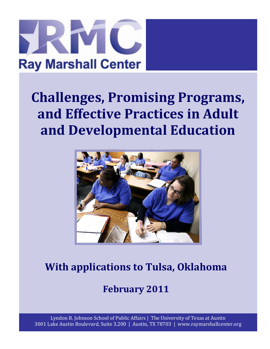

# **Challenges, Promising Programs, and Effective Practices in Adult and Developmental Education**



## **With applications to Tulsa, Oklahoma**

### **February 2011**

Lyndon B. Johnson School of Public Affairs | The University of Texas at Austin 3001 Lake Austin Boulevard, Suite 3.200 | Austin, TX 78703 | www.raymarshallcenter.org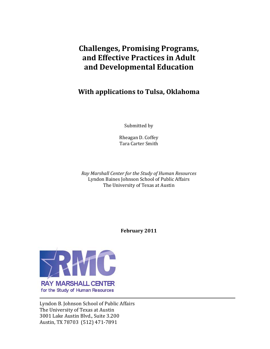### **Challenges, Promising Programs, and Effective Practices in Adult and Developmental Education**

#### **With applications to Tulsa, Oklahoma**

Submitted by

Rheagan D. Coffey Tara Carter Smith

*Ray Marshall Center for the Study of Human Resources* Lyndon Baines Johnson School of Public Affairs The University of Texas at Austin

**February 2011**



Lyndon B. Johnson School of Public Affairs The University of Texas at Austin 3001 Lake Austin Blvd., Suite 3.200 Austin, TX 78703 (512) 471‐7891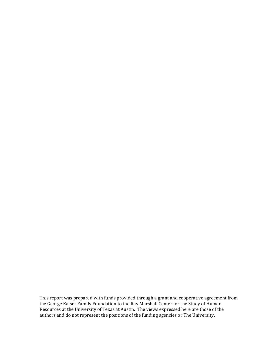This report was prepared with funds provided through a grant and cooperative agreement from the George Kaiser Family Foundation to the Ray Marshall Center for the Study of Human Resources at the University of Texas at Austin. The views expressed here are those of the authors and do not represent the positions of the funding agencies or The University.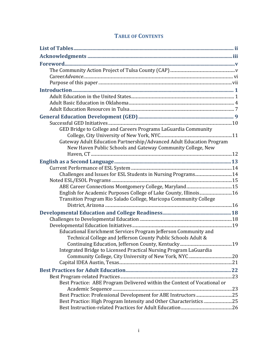#### **TABLE OF CONTENTS**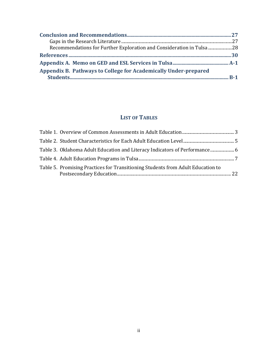| Recommendations for Further Exploration and Consideration in Tulsa 28 |  |
|-----------------------------------------------------------------------|--|
|                                                                       |  |
|                                                                       |  |
| Appendix B. Pathways to College for Academically Under-prepared       |  |
|                                                                       |  |

#### **LIST OF TABLES**

| Table 3. Oklahoma Adult Education and Literacy Indicators of Performance  6     |  |
|---------------------------------------------------------------------------------|--|
|                                                                                 |  |
| Table 5. Promising Practices for Transitioning Students from Adult Education to |  |
|                                                                                 |  |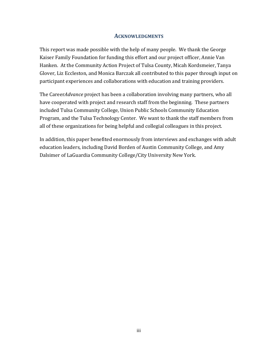#### **ACKNOWLEDGMENTS**

This report was made possible with the help of many people. We thank the George Kaiser Family Foundation for funding this effort and our project officer, Annie Van Hanken. At the Community Action Project of Tulsa County, Micah Kordsmeier, Tanya Glover, Liz Eccleston, and Monica Barczak all contributed to this paper through input on participant experiences and collaborations with education and training providers.

The Career*Advance* project has been a collaboration involving many partners, who all have cooperated with project and research staff from the beginning. These partners included Tulsa Community College, Union Public Schools Community Education Program, and the Tulsa Technology Center. We want to thank the staff members from all of these organizations for being helpful and collegial colleagues in this project.

In addition, this paper benefited enormously from interviews and exchanges with adult education leaders, including David Borden of Austin Community College, and Amy Dalsimer of LaGuardia Community College/City University New York.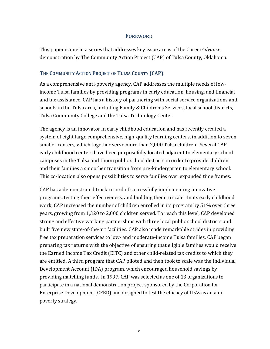#### **FOREWORD**

This paper is one in a series that addresses key issue areas of the Career*Advance* demonstration by The Community Action Project (CAP) of Tulsa County, Oklahoma.

#### **THE COMMUNITY ACTION PROJECT OF TULSA COUNTY (CAP)**

As a comprehensive anti‐poverty agency, CAP addresses the multiple needs of low‐ income Tulsa families by providing programs in early education, housing, and financial and tax assistance. CAP has a history of partnering with social service organizations and schools in the Tulsa area, including Family & Children's Services, local school districts, Tulsa Community College and the Tulsa Technology Center.

The agency is an innovator in early childhood education and has recently created a system of eight large comprehensive, high-quality learning centers, in addition to seven smaller centers, which together serve more than 2,000 Tulsa children. Several CAP early childhood centers have been purposefully located adjacent to elementary school campuses in the Tulsa and Union public school districts in order to provide children and their families a smoother transition from pre‐kindergarten to elementary school. This co-location also opens possibilities to serve families over expanded time frames.

CAP has a demonstrated track record of successfully implementing innovative programs, testing their effectiveness, and building them to scale. In its early childhood work, CAP increased the number of children enrolled in its program by 51% over three years, growing from 1,320 to 2,000 children served. To reach this level, CAP developed strong and effective working partnerships with three local public school districts and built five new state‐of‐the‐art facilities. CAP also made remarkable strides in providing free tax preparation services to low‐ and moderate‐income Tulsa families. CAP began preparing tax returns with the objective of ensuring that eligible families would receive the Earned Income Tax Credit (EITC) and other child‐related tax credits to which they are entitled. A third program that CAP piloted and then took to scale was the Individual Development Account (IDA) program, which encouraged household savings by providing matching funds. In 1997, CAP was selected as one of 13 organizations to participate in a national demonstration project sponsored by the Corporation for Enterprise Development (CFED) and designed to test the efficacy of IDAs as an anti‐ poverty strategy.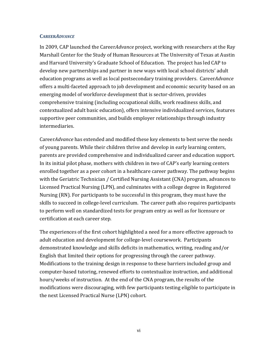#### **CAREER***ADVANCE*

In 2009, CAP launched the Career*Advance* project, working with researchers at the Ray Marshall Center for the Study of Human Resources at The University of Texas at Austin and Harvard University's Graduate School of Education. The project has led CAP to develop new partnerships and partner in new ways with local school districts' adult education programs as well as local postsecondary training providers. Career*Advance* offers a multi‐faceted approach to job development and economic security based on an emerging model of workforce development that is sector‐driven, provides comprehensive training (including occupational skills, work readiness skills, and contextualized adult basic education), offers intensive individualized services, features supportive peer communities, and builds employer relationships through industry intermediaries.

Career*Advance* has extended and modified these key elements to best serve the needs of young parents. While their children thrive and develop in early learning centers, parents are provided comprehensive and individualized career and education support. In its initial pilot phase, mothers with children in two of CAP's early learning centers enrolled together as a peer cohort in a healthcare career pathway. The pathway begins with the Geriatric Technician / Certified Nursing Assistant (CNA) program, advances to Licensed Practical Nursing (LPN), and culminates with a college degree in Registered Nursing (RN). For participants to be successful in this program, they must have the skills to succeed in college‐level curriculum. The career path also requires participants to perform well on standardized tests for program entry as well as for licensure or certification at each career step.

The experiences of the first cohort highlighted a need for a more effective approach to adult education and development for college‐level coursework. Participants demonstrated knowledge and skills deficits in mathematics, writing, reading and/or English that limited their options for progressing through the career pathway. Modifications to the training design in response to these barriers included group and computer‐based tutoring, renewed efforts to contextualize instruction, and additional hours/weeks of instruction. At the end of the CNA program, the results of the modifications were discouraging, with few participants testing eligible to participate in the next Licensed Practical Nurse (LPN) cohort.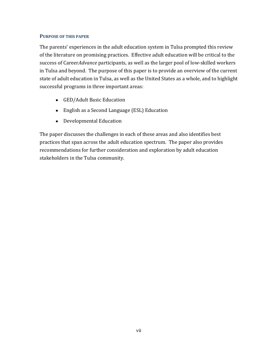#### **PURPOSE OF THIS PAPER**

The parents' experiences in the adult education system in Tulsa prompted this review of the literature on promising practices. Effective adult education will be critical to the success of Career*Advance* participants, as well as the larger pool of low‐skilled workers in Tulsa and beyond. The purpose of this paper is to provide an overview of the current state of adult education in Tulsa, as well as the United States as a whole, and to highlight successful programs in three important areas:

- GED/Adult Basic Education
- English as a Second Language (ESL) Education
- Developmental Education

The paper discusses the challenges in each of these areas and also identifies best practices that span across the adult education spectrum. The paper also provides recommendations for further consideration and exploration by adult education stakeholders in the Tulsa community.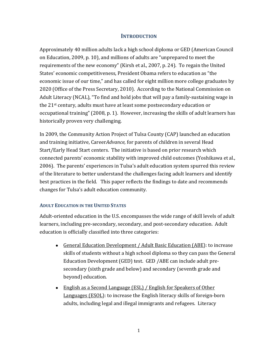#### **INTRODUCTION**

Approximately 40 million adults lack a high school diploma or GED (American Council on Education, 2009, p. 10), and millions of adults are "unprepared to meet the requirements of the new economy" (Kirsh et al., 2007, p. 24). To regain the United States' economic competitiveness, President Obama refers to education as "the economic issue of our time," and has called for eight million more college graduates by 2020 (Office of the Press Secretary, 2010). According to the National Commission on Adult Literacy (NCAL), "To find and hold jobs that will pay a family‐sustaining wage in the 21st century, adults must have at least some postsecondary education or occupational training" (2008, p. 1). However, increasing the skills of adult learners has historically proven very challenging.

In 2009, the Community Action Project of Tulsa County (CAP) launched an education and training initiative, Career*Advance,* for parents of children in several Head Start/Early Head Start centers. The initiative is based on prior research which connected parents' economic stability with improved child outcomes (Yoshikawa et al., 2006). The parents' experiences in Tulsa's adult education system spurred this review of the literature to better understand the challenges facing adult learners and identify best practices in the field. This paper reflects the findings to date and recommends changes for Tulsa's adult education community.

#### **ADULT EDUCATION IN THE UNITED STATES**

Adult-oriented education in the U.S. encompasses the wide range of skill levels of adult learners, including pre‐secondary, secondary, and post‐secondary education. Adult education is officially classified into three categories:

- General Education Development / Adult Basic Education (ABE): to increase skills of students without a high school diploma so they can pass the General Education Development (GED) test. GED /ABE can include adult pre‐ secondary (sixth grade and below) and secondary (seventh grade and beyond) education.
- English as a Second Language (ESL) / English for Speakers of Other Languages (ESOL): to increase the English literacy skills of foreign-born adults, including legal and illegal immigrants and refugees. Literacy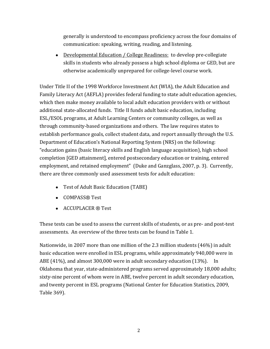generally is understood to encompass proficiency across the four domains of communication: speaking, writing, reading, and listening.

● Developmental Education / College Readiness: to develop pre-collegiate skills in students who already possess a high school diploma or GED, but are otherwise academically unprepared for college‐level course work.

Under Title II of the 1998 Workforce Investment Act (WIA), the Adult Education and Family Literacy Act (AEFLA) provides federal funding to state adult education agencies, which then make money available to local adult education providers with or without additional state‐allocated funds. Title II funds adult basic education, including ESL/ESOL programs, at Adult Learning Centers or community colleges, as well as through community‐based organizations and others. The law requires states to establish performance goals, collect student data, and report annually through the U.S. Department of Education's National Reporting System (NRS) on the following: "education gains (basic literacy skills and English language acquisition), high school completion [GED attainment], entered postsecondary education or training, entered employment, and retained employment" (Duke and Ganzglass, 2007, p. 3). Currently, there are three commonly used assessment tests for adult education:

- Test of Adult Basic Education (TABE)
- COMPASS® Test
- ACCUPLACER ® Test

These tests can be used to assess the current skills of students, or as pre- and post-test assessments. An overview of the three tests can be found in Table 1.

Nationwide, in 2007 more than one million of the 2.3 million students (46%) in adult basic education were enrolled in ESL programs, while approximately 940,000 were in ABE (41%), and almost 300,000 were in adult secondary education (13%). In Oklahoma that year, state‐administered programs served approximately 18,000 adults; sixty‐nine percent of whom were in ABE, twelve percent in adult secondary education, and twenty percent in ESL programs (National Center for Education Statistics, 2009, Table 369).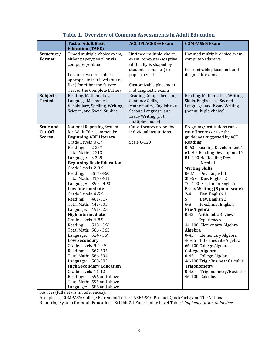| <b>Test of Adult Basic</b>     | <b>ACCUPLACER ® Exam</b>                                                                                                                                                                                                                                                                                                                                                                                                                                                                                                                                                                                                                                                                                                                                                                                                                                                                                                                | <b>COMPASS® Exam</b>                                                                                                                                                                                                                                                 |
|--------------------------------|-----------------------------------------------------------------------------------------------------------------------------------------------------------------------------------------------------------------------------------------------------------------------------------------------------------------------------------------------------------------------------------------------------------------------------------------------------------------------------------------------------------------------------------------------------------------------------------------------------------------------------------------------------------------------------------------------------------------------------------------------------------------------------------------------------------------------------------------------------------------------------------------------------------------------------------------|----------------------------------------------------------------------------------------------------------------------------------------------------------------------------------------------------------------------------------------------------------------------|
| <b>Education (TABE)</b>        |                                                                                                                                                                                                                                                                                                                                                                                                                                                                                                                                                                                                                                                                                                                                                                                                                                                                                                                                         |                                                                                                                                                                                                                                                                      |
|                                | Untimed multiple-choice                                                                                                                                                                                                                                                                                                                                                                                                                                                                                                                                                                                                                                                                                                                                                                                                                                                                                                                 | Untimed multiple-choice exam,                                                                                                                                                                                                                                        |
|                                |                                                                                                                                                                                                                                                                                                                                                                                                                                                                                                                                                                                                                                                                                                                                                                                                                                                                                                                                         | computer-adaptive                                                                                                                                                                                                                                                    |
|                                |                                                                                                                                                                                                                                                                                                                                                                                                                                                                                                                                                                                                                                                                                                                                                                                                                                                                                                                                         |                                                                                                                                                                                                                                                                      |
|                                |                                                                                                                                                                                                                                                                                                                                                                                                                                                                                                                                                                                                                                                                                                                                                                                                                                                                                                                                         | Customizable placement and                                                                                                                                                                                                                                           |
|                                |                                                                                                                                                                                                                                                                                                                                                                                                                                                                                                                                                                                                                                                                                                                                                                                                                                                                                                                                         | diagnostic exams                                                                                                                                                                                                                                                     |
|                                |                                                                                                                                                                                                                                                                                                                                                                                                                                                                                                                                                                                                                                                                                                                                                                                                                                                                                                                                         |                                                                                                                                                                                                                                                                      |
|                                |                                                                                                                                                                                                                                                                                                                                                                                                                                                                                                                                                                                                                                                                                                                                                                                                                                                                                                                                         |                                                                                                                                                                                                                                                                      |
|                                |                                                                                                                                                                                                                                                                                                                                                                                                                                                                                                                                                                                                                                                                                                                                                                                                                                                                                                                                         | Reading, Mathematics, Writing                                                                                                                                                                                                                                        |
|                                | Sentence Skills,                                                                                                                                                                                                                                                                                                                                                                                                                                                                                                                                                                                                                                                                                                                                                                                                                                                                                                                        | Skills, English as a Second                                                                                                                                                                                                                                          |
| Vocabulary, Spelling, Writing, | Mathematics, English as a                                                                                                                                                                                                                                                                                                                                                                                                                                                                                                                                                                                                                                                                                                                                                                                                                                                                                                               | Language, and Essay Writing                                                                                                                                                                                                                                          |
| Science, and Social Studies    | Second Language, and                                                                                                                                                                                                                                                                                                                                                                                                                                                                                                                                                                                                                                                                                                                                                                                                                                                                                                                    | (not multiple-choice)                                                                                                                                                                                                                                                |
|                                | <b>Essay Writing (not</b>                                                                                                                                                                                                                                                                                                                                                                                                                                                                                                                                                                                                                                                                                                                                                                                                                                                                                                               |                                                                                                                                                                                                                                                                      |
|                                |                                                                                                                                                                                                                                                                                                                                                                                                                                                                                                                                                                                                                                                                                                                                                                                                                                                                                                                                         |                                                                                                                                                                                                                                                                      |
|                                |                                                                                                                                                                                                                                                                                                                                                                                                                                                                                                                                                                                                                                                                                                                                                                                                                                                                                                                                         | Programs/institutions can set                                                                                                                                                                                                                                        |
|                                |                                                                                                                                                                                                                                                                                                                                                                                                                                                                                                                                                                                                                                                                                                                                                                                                                                                                                                                                         | cut-off scores or use the                                                                                                                                                                                                                                            |
|                                |                                                                                                                                                                                                                                                                                                                                                                                                                                                                                                                                                                                                                                                                                                                                                                                                                                                                                                                                         | guidelines suggested by ACT:                                                                                                                                                                                                                                         |
|                                |                                                                                                                                                                                                                                                                                                                                                                                                                                                                                                                                                                                                                                                                                                                                                                                                                                                                                                                                         | <b>Reading</b><br>0-60 Reading Development 1                                                                                                                                                                                                                         |
|                                |                                                                                                                                                                                                                                                                                                                                                                                                                                                                                                                                                                                                                                                                                                                                                                                                                                                                                                                                         | 61-80 Reading Development 2                                                                                                                                                                                                                                          |
|                                |                                                                                                                                                                                                                                                                                                                                                                                                                                                                                                                                                                                                                                                                                                                                                                                                                                                                                                                                         | 81-100 No Reading Dev.                                                                                                                                                                                                                                               |
|                                |                                                                                                                                                                                                                                                                                                                                                                                                                                                                                                                                                                                                                                                                                                                                                                                                                                                                                                                                         | Needed                                                                                                                                                                                                                                                               |
| Grade Levels 2-3.9             |                                                                                                                                                                                                                                                                                                                                                                                                                                                                                                                                                                                                                                                                                                                                                                                                                                                                                                                                         | <b>Writing Skills</b>                                                                                                                                                                                                                                                |
| Reading:<br>$368 - 460$        |                                                                                                                                                                                                                                                                                                                                                                                                                                                                                                                                                                                                                                                                                                                                                                                                                                                                                                                                         | 0-37 Dev. English 1                                                                                                                                                                                                                                                  |
| Total Math: 314 - 441          |                                                                                                                                                                                                                                                                                                                                                                                                                                                                                                                                                                                                                                                                                                                                                                                                                                                                                                                                         | 38-69 Dev. English 2                                                                                                                                                                                                                                                 |
| Language: 390 - 490            |                                                                                                                                                                                                                                                                                                                                                                                                                                                                                                                                                                                                                                                                                                                                                                                                                                                                                                                                         | 70-100 Freshman English                                                                                                                                                                                                                                              |
|                                |                                                                                                                                                                                                                                                                                                                                                                                                                                                                                                                                                                                                                                                                                                                                                                                                                                                                                                                                         | <b>Essay Writing (8 point scale)</b>                                                                                                                                                                                                                                 |
|                                |                                                                                                                                                                                                                                                                                                                                                                                                                                                                                                                                                                                                                                                                                                                                                                                                                                                                                                                                         | $2 - 4$<br>Dev. English 1                                                                                                                                                                                                                                            |
|                                |                                                                                                                                                                                                                                                                                                                                                                                                                                                                                                                                                                                                                                                                                                                                                                                                                                                                                                                                         | 5 <sup>5</sup><br>Dev. English 2                                                                                                                                                                                                                                     |
|                                |                                                                                                                                                                                                                                                                                                                                                                                                                                                                                                                                                                                                                                                                                                                                                                                                                                                                                                                                         | $6-8$<br>Freshman English                                                                                                                                                                                                                                            |
|                                |                                                                                                                                                                                                                                                                                                                                                                                                                                                                                                                                                                                                                                                                                                                                                                                                                                                                                                                                         | Pre-Algebra<br>Arithmetic Review<br>$0 - 43$                                                                                                                                                                                                                         |
|                                |                                                                                                                                                                                                                                                                                                                                                                                                                                                                                                                                                                                                                                                                                                                                                                                                                                                                                                                                         | Experiences                                                                                                                                                                                                                                                          |
|                                |                                                                                                                                                                                                                                                                                                                                                                                                                                                                                                                                                                                                                                                                                                                                                                                                                                                                                                                                         | 44-100 Elementary Algebra                                                                                                                                                                                                                                            |
|                                |                                                                                                                                                                                                                                                                                                                                                                                                                                                                                                                                                                                                                                                                                                                                                                                                                                                                                                                                         | Algebra                                                                                                                                                                                                                                                              |
|                                |                                                                                                                                                                                                                                                                                                                                                                                                                                                                                                                                                                                                                                                                                                                                                                                                                                                                                                                                         | $0 - 45$<br>Elementary Algebra                                                                                                                                                                                                                                       |
| <b>Low Secondary</b>           |                                                                                                                                                                                                                                                                                                                                                                                                                                                                                                                                                                                                                                                                                                                                                                                                                                                                                                                                         | 46-65 Intermediate Algebra                                                                                                                                                                                                                                           |
| Grade Levels 9-10.9            |                                                                                                                                                                                                                                                                                                                                                                                                                                                                                                                                                                                                                                                                                                                                                                                                                                                                                                                                         | 66-100 College Algebra                                                                                                                                                                                                                                               |
| Reading:<br>567-595            |                                                                                                                                                                                                                                                                                                                                                                                                                                                                                                                                                                                                                                                                                                                                                                                                                                                                                                                                         | <b>College Algebra</b>                                                                                                                                                                                                                                               |
|                                |                                                                                                                                                                                                                                                                                                                                                                                                                                                                                                                                                                                                                                                                                                                                                                                                                                                                                                                                         | 0-45 College Algebra                                                                                                                                                                                                                                                 |
|                                |                                                                                                                                                                                                                                                                                                                                                                                                                                                                                                                                                                                                                                                                                                                                                                                                                                                                                                                                         | 46-100 Trig./Business Calculus                                                                                                                                                                                                                                       |
|                                |                                                                                                                                                                                                                                                                                                                                                                                                                                                                                                                                                                                                                                                                                                                                                                                                                                                                                                                                         | <b>Trigonometry</b>                                                                                                                                                                                                                                                  |
|                                |                                                                                                                                                                                                                                                                                                                                                                                                                                                                                                                                                                                                                                                                                                                                                                                                                                                                                                                                         | $0 - 45$<br>Trigonometry/Business<br>46-100 Calculus I                                                                                                                                                                                                               |
|                                |                                                                                                                                                                                                                                                                                                                                                                                                                                                                                                                                                                                                                                                                                                                                                                                                                                                                                                                                         |                                                                                                                                                                                                                                                                      |
|                                |                                                                                                                                                                                                                                                                                                                                                                                                                                                                                                                                                                                                                                                                                                                                                                                                                                                                                                                                         |                                                                                                                                                                                                                                                                      |
|                                | Timed multiple-choice exam,<br>either paper/pencil or via<br>computer/online<br>Locator test determines<br>appropriate test level (out of<br>five) for either the Survey<br>Test or the Complete Battery<br>Reading, Mathematics,<br>Language Mechanics,<br><b>National Reporting System</b><br>for Adult Ed recommends:<br><b>Beginning ABE Literacy</b><br>Grade Levels 0-1.9<br>Reading:<br>$\leq 367$<br>Total Math: $\leq$ 313<br>Language: $\leq 389$<br><b>Beginning Basic Education</b><br><b>Low Intermediate</b><br>Grade Levels 4-5.9<br>Reading: 461-517<br>Total Math: 442-505<br>Language: 491-523<br><b>High Intermediate</b><br>Grade Levels 6-8.9<br>Reading:<br>$518 - 566$<br>Total Math: 506 - 565<br>Language: 524 - 559<br>Total Math: 566-594<br>Language: 560-585<br><b>High Secondary Education</b><br>Grade Levels 11-12<br>Reading:<br>596 and above<br>Total Math: 595 and above<br>Language: 586 and above | exam, computer-adaptive<br>(difficulty is shaped by<br>student responses) or<br>paper/pencil<br>Customizable placement<br>and diagnostic exams<br>Reading Comprehension,<br>multiple-choice)<br>Cut-off scores are set by<br>individual institutions.<br>Scale 0-120 |

#### **Table 1. Overview of Common Assessments in Adult Education**

Sources (full details in References):

Accuplacer; COMPASS: College Placement Tests; TABE 9&10 Product QuickFacts; and The National Reporting System for Adult Education, "Exhibit 2.1 Functioning Level Table," *Implementation Guidelines.*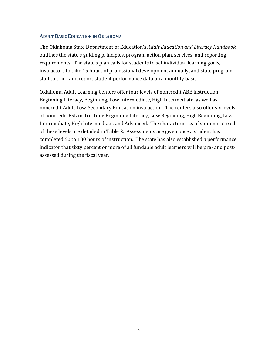#### **ADULT BASIC EDUCATION IN OKLAHOMA**

The Oklahoma State Department of Education's *Adult Education and Literacy Handbook* outlines the state's guiding principles, program action plan, services, and reporting requirements. The state's plan calls for students to set individual learning goals, instructors to take 15 hours of professional development annually, and state program staff to track and report student performance data on a monthly basis.

Oklahoma Adult Learning Centers offer four levels of noncredit ABE instruction: Beginning Literacy, Beginning, Low Intermediate, High Intermediate, as well as noncredit Adult Low‐Secondary Education instruction. The centers also offer six levels of noncredit ESL instruction: Beginning Literacy, Low Beginning, High Beginning, Low Intermediate, High Intermediate, and Advanced. The characteristics of students at each of these levels are detailed in Table 2. Assessments are given once a student has completed 60 to 100 hours of instruction. The state has also established a performance indicator that sixty percent or more of all fundable adult learners will be pre- and postassessed during the fiscal year.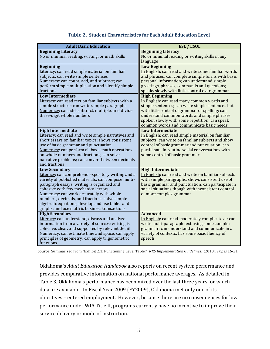| <b>Adult Basic Education</b>                                                                                                                                                                                                                                                                                                                                                                                           | <b>ESL / ESOL</b>                                                                                                                                                                                                                                                                                                     |
|------------------------------------------------------------------------------------------------------------------------------------------------------------------------------------------------------------------------------------------------------------------------------------------------------------------------------------------------------------------------------------------------------------------------|-----------------------------------------------------------------------------------------------------------------------------------------------------------------------------------------------------------------------------------------------------------------------------------------------------------------------|
| <b>Beginning Literacy</b><br>No or minimal reading, writing, or math skills                                                                                                                                                                                                                                                                                                                                            | <b>Beginning Literacy</b><br>No or minimal reading or writing skills in any<br>language                                                                                                                                                                                                                               |
| <b>Beginning</b><br>Literacy: can read simple material on familiar<br>subjects; can write simple sentences<br>Numeracy: can count, add, and subtract; can<br>perform simple multiplication and identify simple<br>fractions                                                                                                                                                                                            | <b>Low Beginning</b><br>In English: can read and write some familiar words<br>and phrases; can complete simple forms with basic<br>personal information; can understand simple<br>greetings, phrases, commands and questions;<br>speaks slowly with little control over grammar                                       |
| <b>Low Intermediate</b><br>Literacy: can read text on familiar subjects with a<br>simple structure; can write simple paragraphs<br>Numeracy: can add, subtract, multiple, and divide<br>three-digit whole numbers                                                                                                                                                                                                      | <b>High Beginning</b><br>In English: can read many common words and<br>simple sentences; can write simple sentences but<br>with little control of grammar or spelling; can<br>understand common words and simple phrases<br>spoken slowly with some repetition; can speak<br>common words and communicate basic needs |
| <b>High Intermediate</b><br>Literacy: can read and write simple narratives and<br>short essays on familiar topics; shows consistent<br>use of basic grammar and punctuation<br>Numeracy: can perform all basic math operations<br>on whole numbers and fractions; can solve<br>narrative problems; can convert between decimals<br>and fractions                                                                       | <b>Low Intermediate</b><br>In English: can read simple material on familiar<br>subjects; can write on familiar subjects and show<br>control of basic grammar and punctuation; can<br>participate in routine social conversations with<br>some control of basic grammar                                                |
| <b>Low Secondary</b><br>Literacy: can comprehend expository writing and a<br>variety of published materials; can compose multi-<br>paragraph essays; writing is organized and<br>cohesive with few mechanical errors<br>Numeracy: can work accurately with whole<br>numbers, decimals, and fractions; solve simple<br>algebraic equations; develop and use tables and<br>graphs; and use math is business transactions | <b>High Intermediate</b><br>In English: can read and write on familiar subjects<br>with simple paragraphs; shows consistent use of<br>basic grammar and punctuation; can participate in<br>social situations though with inconsistent control<br>of more complex grammar                                              |
| <b>High Secondary</b><br>Literacy: can understand, discuss and analyze<br>information from a variety of sources; writing is<br>cohesive, clear, and supported by relevant detail<br>Numeracy: can estimate time and space; can apply<br>principles of geometry; can apply trigonometric<br>functions                                                                                                                   | <b>Advanced</b><br>In English: can read moderately complex text; can<br>write multi-paragraph text using some complex<br>grammar; can understand and communicate in a<br>variety of contexts; has some basic fluency of<br>speech                                                                                     |

#### **Table 2. Student Characteristics for Each Adult Education Level**

Source: Summarized from "Exhibit 2.1: Functioning Level Table." *NRS Implementation Guidelines.* (2010). *Pages* 16‐21.

Oklahoma's *Adult Education Handbook* also reports on recent system performance and provides comparative information on national performance averages. As detailed in Table 3, Oklahoma's performance has been mixed over the last three years for which data are available. In Fiscal Year 2009 (FY2009), Oklahoma met only one of its objectives – entered employment. However, because there are no consequences for low performance under WIA Title II, programs currently have no incentive to improve their service delivery or mode of instruction.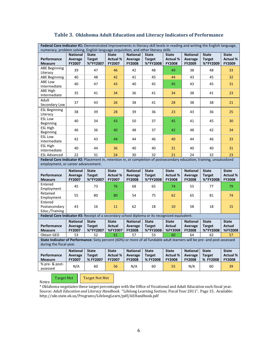| Federal Core Indicator #1: Demonstrated improvements in literacy skill levels in reading and writing the English language,                                    |                                      |                                           |                                           |                                             |                                           |                                                  |                                             |                                           |                                                  |
|---------------------------------------------------------------------------------------------------------------------------------------------------------------|--------------------------------------|-------------------------------------------|-------------------------------------------|---------------------------------------------|-------------------------------------------|--------------------------------------------------|---------------------------------------------|-------------------------------------------|--------------------------------------------------|
| numeracy, problem solving, English language acquisition, and other literacy skills                                                                            |                                      |                                           |                                           |                                             |                                           |                                                  |                                             |                                           |                                                  |
| Performance<br><b>Measure</b>                                                                                                                                 | <b>National</b><br>Average<br>FY2007 | <b>State</b><br><b>Target</b><br>%*FY2007 | <b>State</b><br><b>Actual %</b><br>FY2007 | <b>National</b><br>Average<br>FY2008        | <b>State</b><br><b>Target</b><br>%*FY2008 | <b>State</b><br><b>Actual %</b><br>FY2008        | <b>National</b><br>Average<br>FY2009        | <b>State</b><br><b>Target</b><br>%*FY2009 | <b>State</b><br><b>Actual %</b><br>FY2009        |
| <b>ABE Beginning</b><br>Literacy                                                                                                                              | 39                                   | 47                                        | 46                                        | 42                                          | 48                                        | 49                                               | 38                                          | 48                                        | 33                                               |
| <b>ABE Beginning</b>                                                                                                                                          | 40                                   | 48                                        | 42                                        | 41                                          | 45                                        | 44                                               | 43                                          | 45                                        | 32                                               |
| <b>ABE Low</b><br>Intermediate                                                                                                                                | 40                                   | 47                                        | 43                                        | 40                                          | 45                                        | 45                                               | 43                                          | 45                                        | 31                                               |
| ABE High<br>Intermediate                                                                                                                                      | 35                                   | 41                                        | 34                                        | 36                                          | 41                                        | 34                                               | 38                                          | 41                                        | 23                                               |
| Adult<br>Secondary Low                                                                                                                                        | 37                                   | 43                                        | 26                                        | 38                                          | 41                                        | 28                                               | 38                                          | 38                                        | 21                                               |
| <b>ESL Beginning</b><br>Literacy                                                                                                                              | 38                                   | 39                                        | 28                                        | 39                                          | 36                                        | 23                                               | 43                                          | 36                                        | 25                                               |
| <b>ESL Low</b><br>Beginning                                                                                                                                   | 40                                   | 34                                        | 43                                        | 50                                          | 37                                        | 45                                               | 41                                          | 45                                        | 30                                               |
| <b>ESL High</b><br>Beginning                                                                                                                                  | 46                                   | 36                                        | 40                                        | 48                                          | 37                                        | 42                                               | 48                                          | 42                                        | 34                                               |
| <b>ESL Low</b><br>Intermediate                                                                                                                                | 42                                   | 43                                        | 44                                        | 44                                          | 46                                        | 40                                               | 44                                          | 46                                        | 33                                               |
| <b>ESL High</b><br>Intermediate                                                                                                                               | 40                                   | 44                                        | 36                                        | 40                                          | 40                                        | 31                                               | 40                                          | 40                                        | 31                                               |
| <b>ESL Advanced</b>                                                                                                                                           | 22                                   | 31                                        | 24                                        | 30                                          | 32                                        | 21                                               | 24                                          | 32                                        | 23                                               |
| Federal Core Indicator #2: Placement in, retention in, or completion of postsecondary education, training, unsubsidized<br>employment, or career advancement. |                                      |                                           |                                           |                                             |                                           |                                                  |                                             |                                           |                                                  |
| Performance<br><b>Measure</b>                                                                                                                                 | <b>National</b><br>Average<br>FY2007 | <b>State</b><br><b>Target</b><br>%*FY2007 | <b>State</b><br><b>Actual %</b><br>FY2007 | <b>National</b><br>Average<br><b>FY2008</b> | <b>State</b><br><b>Target</b><br>%*FY2008 | <b>State</b><br><b>Actual %</b><br><b>FY2008</b> | <b>National</b><br>Average<br><b>FY2008</b> | <b>State</b><br><b>Target</b><br>%*FY2008 | <b>State</b><br><b>Actual %</b><br><b>FY2008</b> |
| Entered<br>Employment                                                                                                                                         | 45                                   | 73                                        | 76                                        | 68                                          | 65                                        | 74                                               | 55                                          | 77                                        | 79                                               |
| Retained<br>Employment                                                                                                                                        | 55                                   | 80                                        | 80                                        | 54                                          | 75                                        | 62                                               | 65                                          | 81                                        | 74                                               |
| Entered<br>Postsecondary<br>Educ./Training                                                                                                                    | 43                                   | 16                                        | 11                                        | 62                                          | 18                                        | 10                                               | 58                                          | 18                                        | 15                                               |
| Federal Core Indicator #3: Receipt of a secondary school diploma or its recognized equivalent.                                                                |                                      |                                           |                                           |                                             |                                           |                                                  |                                             |                                           |                                                  |
| Performance<br><b>Measure</b>                                                                                                                                 | <b>National</b><br>Average<br>FY2007 | <b>State</b><br><b>Target</b><br>%*FY2007 | <b>State</b><br><b>Actual</b><br>%FY2007  | <b>National</b><br>Average<br><b>FY2008</b> | <b>State</b><br><b>Target</b><br>%*FY2008 | <b>State</b><br><b>Actual</b><br><b>%FY2008</b>  | <b>National</b><br>Average<br><b>FY2008</b> | <b>State</b><br><b>Target</b><br>%*FY2008 | <b>State</b><br><b>Actual</b><br><b>%FY2008</b>  |
| <b>Obtain GED</b>                                                                                                                                             | 53                                   | 52                                        | 61                                        | 57                                          | 53                                        | 60                                               | 64                                          | 62                                        | 57                                               |
| State Indicator of Performance: Sixty percent (60%) or more of all fundable adult learners will be pre- and post-assessed<br>during the fiscal year.          |                                      |                                           |                                           |                                             |                                           |                                                  |                                             |                                           |                                                  |
| Performance<br><b>Measure</b>                                                                                                                                 | <b>National</b><br>Average<br>FY2007 | <b>State</b><br><b>Target</b><br>%FY2007  | <b>State</b><br><b>Actual %</b><br>FY2007 | <b>National</b><br>Average<br><b>FY2008</b> | <b>State</b><br><b>Target</b><br>%FY2008  | <b>State</b><br><b>Actual %</b><br><b>FY2008</b> | <b>National</b><br>Average<br><b>FY2008</b> | <b>State</b><br><b>Target</b><br>% FY2008 | <b>State</b><br><b>Actual %</b><br><b>FY2008</b> |
| % pre- & post-<br>assessed                                                                                                                                    | N/A                                  | 60                                        | 56                                        | N/A                                         | 60                                        | 55                                               | N/A                                         | 60                                        | 39                                               |

#### **Table 3. Oklahoma Adult Education and Literacy Indicators of Performance**

Notes: Notes: Notes: Notes: Notes: Notes: Notes: Notes: Notes: Notes: Notes: Notes: Notes: Notes: Notes: Notes Target Met Target Not Met

\* Oklahoma negotiates these target percentages with the Office of Vocational and Adult Education each fiscal year. Source: *Adult Education and Literacy Handbook.* "Lifelong Learning Section; Fiscal Year 2011". Page 15. Available: http://sde.state.ok.us/Programs/LifelongLearn/pdf/AEHandbook.pdf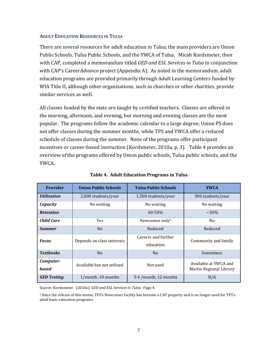#### **ADULT EDUCATION RESOURCES IN TULSA**

There are several resources for adult education in Tulsa; the main providers are Union Public Schools, Tulsa Public Schools, and the YWCA of Tulsa. Micah Kordsmeier, then with CAP, completed a memorandum titled *GED and ESL Services in Tulsa* in conjunction with CAP's Career*Advance* project (Appendix A). As noted in the memorandum, adult education programs are provided primarily through Adult Learning Centers funded by WIA Title II, although other organizations, such as churches or other charities, provide similar services as well.

All classes funded by the state are taught by certified teachers. Classes are offered in the morning, afternoon, and evening, but morning and evening classes are the most popular. The programs follow the academic calendar to a large degree; Union PS does not offer classes during the summer months, while TPS and YWCA offer a reduced schedule of classes during the summer. None of the programs offer participant incentives or career‐based instruction (Kordsmeier, 2010a, p. 3). Table 4 provides an overview of the programs offered by Union public schools, Tulsa public schools, and the YWCA.

| <b>Provider</b>                          | <b>Union Public Schools</b>            | <b>Tulsa Public Schools</b>      | <b>YWCA</b>                                      |  |
|------------------------------------------|----------------------------------------|----------------------------------|--------------------------------------------------|--|
| <i><b>Utilization</b></i>                | 2,000 students/year                    | 1,500 students/year              | 900 students/year                                |  |
| Capacity                                 | No waiting<br>No waiting               |                                  | No waiting                                       |  |
| <b>Retention</b>                         |                                        | 40-50%                           | $~1.50\%$                                        |  |
| <b>Child Care</b>                        | <b>Yes</b>                             | Newcomer only <sup>1</sup>       | N <sub>0</sub>                                   |  |
| <b>Summer</b>                            | N <sub>0</sub>                         | Reduced                          | Reduced                                          |  |
| <b>Focus</b>                             | Depends on class interests             | Careers and further<br>education | Community and family                             |  |
| <b>Textbooks</b>                         | N <sub>0</sub><br>N <sub>0</sub>       |                                  | Sometimes                                        |  |
| Computer-<br><b>based</b>                | Available but not utilized<br>Not used |                                  | Available at YWCA and<br>Martin Regional Library |  |
| <b>GED Testing</b><br>1/month, 10 months |                                        | 3-4 /month, 12 months            | N/A                                              |  |

**Table 4. Adult Education Programs in Tulsa**

Source: Kordsmeier. (2010a). *GED and ESL Services in Tulsa*. Page 4.

1 Since the release of this memo, TPS's Newcomer facility has become a CAP property and is no longer used for TPS's adult basic education programs.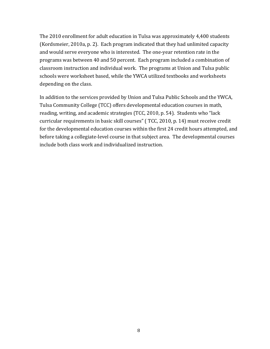The 2010 enrollment for adult education in Tulsa was approximately 4,400 students (Kordsmeier, 2010a, p. 2). Each program indicated that they had unlimited capacity and would serve everyone who is interested. The one‐year retention rate in the programs was between 40 and 50 percent. Each program included a combination of classroom instruction and individual work. The programs at Union and Tulsa public schools were worksheet based, while the YWCA utilized textbooks and worksheets depending on the class.

In addition to the services provided by Union and Tulsa Public Schools and the YWCA, Tulsa Community College (TCC) offers developmental education courses in math, reading, writing, and academic strategies (TCC, 2010, p. 54). Students who "lack curricular requirements in basic skill courses" ( TCC, 2010, p. 14) must receive credit for the developmental education courses within the first 24 credit hours attempted, and before taking a collegiate‐level course in that subject area. The developmental courses include both class work and individualized instruction.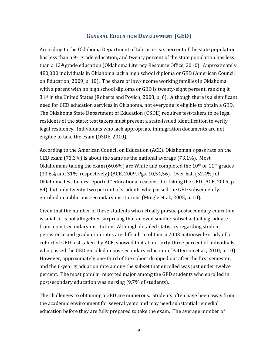#### **GENERAL EDUCATION DEVELOPMENT (GED)**

According to the Oklahoma Department of Libraries, six percent of the state population has less than a 9th grade education, and twenty percent of the state population has less than a 12th grade education (Oklahoma Literacy Resource Office, 2010). Approximately 480,000 individuals in Oklahoma lack a high school diploma or GED (American Council on Education, 2009, p. 10). The share of low‐income working families in Oklahoma with a parent with no high school diploma or GED is twenty‐eight percent, ranking it 31st in the United States (Roberts and Povich, 2008, p. 6). Although there is a significant need for GED education services in Oklahoma, not everyone is eligible to obtain a GED. The Oklahoma State Department of Education (OSDE) requires test‐takers to be legal residents of the state; test takers must present a state‐issued identification to verify legal residency. Individuals who lack appropriate immigration documents are not eligible to take the exam (OSDE, 2010).

According to the American Council on Education (ACE), Oklahoman's pass rate on the GED exam (73.3%) is about the same as the national average (73.1%). Most Oklahomans taking the exam (60.6%) are White and completed the  $10<sup>th</sup>$  or  $11<sup>th</sup>$  grades (30.6% and 31%, respectively) (ACE, 2009, Pgs. 10,54,56). Over half (52.4%) of Oklahoma test-takers reported "educational reasons" for taking the GED (ACE, 2009, p. 84), but only twenty-two percent of students who passed the GED subsequently enrolled in public postsecondary institutions (Mingle et al., 2005, p. 10).

Given that the number of these students who actually pursue postsecondary education is small, it is not altogether surprising that an even smaller subset actually graduate from a postsecondary institution. Although detailed statistics regarding student persistence and graduation rates are difficult to obtain, a 2003 nationwide study of a cohort of GED test-takers by ACE, showed that about forty-three percent of individuals who passed the GED enrolled in postsecondary education (Patterson et al., 2010, p. 10). However, approximately one‐third of the cohort dropped out after the first semester, and the 6‐year graduation rate among the subset that enrolled was just under twelve percent. The most popular reported major among the GED students who enrolled in postsecondary education was nursing (9.7% of students).

The challenges to obtaining a GED are numerous. Students often have been away from the academic environment for several years and may need substantial remedial education before they are fully prepared to take the exam. The average number of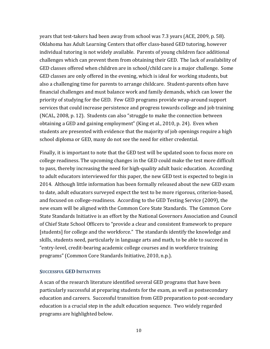years that test‐takers had been away from school was 7.3 years (ACE, 2009, p. 58). Oklahoma has Adult Learning Centers that offer class‐based GED tutoring, however individual tutoring is not widely available. Parents of young children face additional challenges which can prevent them from obtaining their GED. The lack of availability of GED classes offered when children are in school/child care is a major challenge. Some GED classes are only offered in the evening, which is ideal for working students, but also a challenging time for parents to arrange childcare. Student‐parents often have financial challenges and must balance work and family demands, which can lower the priority of studying for the GED. Few GED programs provide wrap-around support services that could increase persistence and progress towards college and job training (NCAL, 2008, p. 12). Students can also "struggle to make the connection between obtaining a GED and gaining employment" (King et al., 2010, p. 24). Even when students are presented with evidence that the majority of job openings require a high school diploma or GED, many do not see the need for either credential.

Finally, it is important to note that the GED test will be updated soon to focus more on college readiness. The upcoming changes in the GED could make the test more difficult to pass, thereby increasing the need for high‐quality adult basic education. According to adult educators interviewed for this paper, the new GED test is expected to begin in 2014. Although little information has been formally released about the new GED exam to date, adult educators surveyed expect the test to be more rigorous, criterion‐based, and focused on college‐readiness. According to the GED Testing Service (2009), the new exam will be aligned with the Common Core State Standards. The Common Core State Standards Initiative is an effort by the National Governors Association and Council of Chief State School Officers to "provide a clear and consistent framework to prepare [students] for college and the workforce." The standards identify the knowledge and skills, students need, particularly in language arts and math, to be able to succeed in "entry‐level, credit‐bearing academic college courses and in workforce training programs" (Common Core Standards Initiative, 2010, n.p.).

#### **SUCCESSFUL GED INITIATIVES**

A scan of the research literature identified several GED programs that have been particularly successful at preparing students for the exam, as well as postsecondary education and careers. Successful transition from GED preparation to post‐secondary education is a crucial step in the adult education sequence. Two widely regarded programs are highlighted below.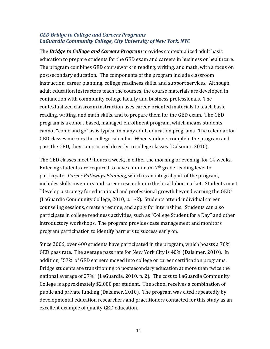#### *GED Bridge to College and Careers Programs LaGuardia Community College, City University of New York, NYC*

The *Bridge to College and Careers Program* provides contextualized adult basic education to prepare students for the GED exam and careers in business or healthcare. The program combines GED coursework in reading, writing, and math, with a focus on postsecondary education. The components of the program include classroom instruction, career planning, college readiness skills, and support services. Although adult education instructors teach the courses, the course materials are developed in conjunction with community college faculty and business professionals. The contextualized classroom instruction uses career‐oriented materials to teach basic reading, writing, and math skills, and to prepare them for the GED exam. The GED program is a cohort‐based, managed‐enrollment program, which means students cannot "come and go" as is typical in many adult education programs. The calendar for GED classes mirrors the college calendar. When students complete the program and pass the GED, they can proceed directly to college classes (Dalsimer, 2010).

The GED classes meet 9 hours a week, in either the morning or evening, for 14 weeks. Entering students are required to have a minimum 7th grade reading level to participate. *Career Pathways Plannin*g, which is an integral part of the program, includes skills inventory and career research into the local labor market. Students must "develop a strategy for educational and professional growth beyond earning the GED" (LaGuardia Community College, 2010, p. 1‐2). Students attend individual career counseling sessions, create a resume, and apply for internships. Students can also participate in college readiness activities, such as "College Student for a Day" and other introductory workshops. The program provides case management and monitors program participation to identify barriers to success early on.

Since 2006, over 400 students have participated in the program, which boasts a 70% GED pass rate. The average pass rate for New York City is 40% (Dalsimer, 2010). In addition, "57% of GED earners moved into college or career certification programs. Bridge students are transitioning to postsecondary education at more than twice the national average of 27%" (LaGuardia, 2010, p. 2). The cost to LaGuardia Community College is approximately \$2,000 per student. The school receives a combination of public and private funding (Dalsimer, 2010). The program was cited repeatedly by developmental education researchers and practitioners contacted for this study as an excellent example of quality GED education.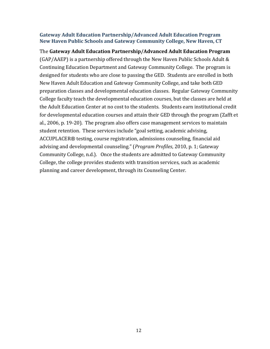#### **Gateway Adult Education Partnership/Advanced Adult Education Program New Haven Public Schools and Gateway Community College, New Haven, CT**

The **Gateway Adult Education Partnership/Advanced Adult Education Program** (GAP/AAEP) is a partnership offered through the New Haven Public Schools Adult & Continuing Education Department and Gateway Community College. The program is designed for students who are close to passing the GED. Students are enrolled in both New Haven Adult Education and Gateway Community College, and take both GED preparation classes and developmental education classes. Regular Gateway Community College faculty teach the developmental education courses, but the classes are held at the Adult Education Center at no cost to the students. Students earn institutional credit for developmental education courses and attain their GED through the program (Zafft et al., 2006, p. 19‐20). The program also offers case management services to maintain student retention. These services include "goal setting, academic advising, ACCUPLACER® testing, course registration, admissions counseling, financial aid advising and developmental counseling." (*Program Profiles*, 2010, p. 1; Gateway Community College, n.d.). Once the students are admitted to Gateway Community College, the college provides students with transition services, such as academic planning and career development, through its Counseling Center.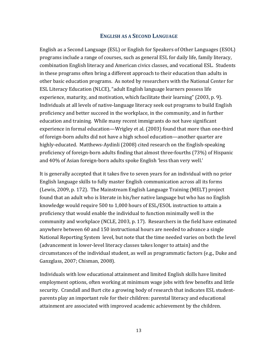#### **ENGLISH AS A SECOND LANGUAGE**

English as a Second Language (ESL) or English for Speakers of Other Languages (ESOL) programs include a range of courses, such as general ESL for daily life, family literacy, combination English literacy and American civics classes, and vocational ESL. Students in these programs often bring a different approach to their education than adults in other basic education programs. As noted by researchers with the National Center for ESL Literacy Education (NLCE), "adult English language learners possess life experience, maturity, and motivation, which facilitate their learning" (2003, p. 9). Individuals at all levels of native‐language literacy seek out programs to build English proficiency and better succeed in the workplace, in the community, and in further education and training. While many recent immigrants do not have significant experience in formal education—Wrigley et al. (2003) found that more than one‐third of foreign‐born adults did not have a high school education—another quarter are highly-educated. Matthews-Aydinli (2008) cited research on the English-speaking proficiency of foreign‐born adults finding that almost three‐fourths (73%) of Hispanic and 40% of Asian foreign‐born adults spoke English 'less than very well.'

It is generally accepted that it takes five to seven years for an individual with no prior English language skills to fully master English communication across all its forms (Lewis, 2009, p. 172). The Mainstream English Language Training (MELT) project found that an adult who is literate in his/her native language but who has no English knowledge would require 500 to 1,000 hours of ESL/ESOL instruction to attain a proficiency that would enable the individual to function minimally well in the community and workplace (NCLE, 2003, p. 17). Researchers in the field have estimated anywhere between 60 and 150 instructional hours are needed to advance a single National Reporting System level, but note that the time needed varies on both the level (advancement in lower‐level literacy classes takes longer to attain) and the circumstances of the individual student, as well as programmatic factors (e.g., Duke and Ganzglass, 2007; Chisman, 2008).

Individuals with low educational attainment and limited English skills have limited employment options, often working at minimum wage jobs with few benefits and little security. Crandall and Burt cite a growing body of research that indicates ESL student‐ parents play an important role for their children: parental literacy and educational attainment are associated with improved academic achievement by the children.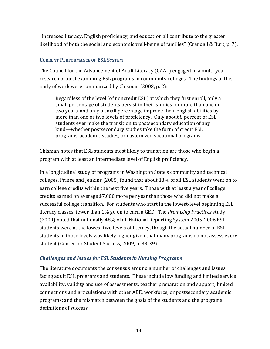"Increased literacy, English proficiency, and education all contribute to the greater likelihood of both the social and economic well‐being of families" (Crandall & Burt, p. 7).

#### **CURRENT PERFORMANCE OF ESL SYSTEM**

The Council for the Advancement of Adult Literacy (CAAL) engaged in a multi‐year research project examining ESL programs in community colleges. The findings of this body of work were summarized by Chisman (2008, p. 2):

Regardless of the level (of noncredit ESL) at which they first enroll, only a small percentage of students persist in their studies for more than one or two years, and only a small percentage improve their English abilities by more than one or two levels of proficiency. Only about 8 percent of ESL students ever make the transition to postsecondary education of any kind—whether postsecondary studies take the form of credit ESL programs, academic studies, or customized vocational programs.

Chisman notes that ESL students most likely to transition are those who begin a program with at least an intermediate level of English proficiency.

In a longitudinal study of programs in Washington State's community and technical colleges, Prince and Jenkins (2005) found that about 13% of all ESL students went on to earn college credits within the next five years. Those with at least a year of college credits earned on average \$7,000 more per year than those who did not make a successful college transition. For students who start in the lowest‐level beginning ESL literacy classes, fewer than 1% go on to earn a GED. The *Promising Practices* study (2009) noted that nationally 48% of all National Reporting System 2005‐2006 ESL students were at the lowest two levels of literacy, though the actual number of ESL students in those levels was likely higher given that many programs do not assess every student (Center for Student Success, 2009, p. 38‐39).

#### *Challenges and Issues for ESL Students in Nursing Programs*

The literature documents the consensus around a number of challenges and issues facing adult ESL programs and students. These include low funding and limited service availability; validity and use of assessments; teacher preparation and support; limited connections and articulations with other ABE, workforce, or postsecondary academic programs; and the mismatch between the goals of the students and the programs' definitions of success.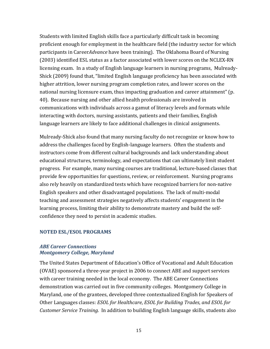Students with limited English skills face a particularly difficult task in becoming proficient enough for employment in the healthcare field (the industry sector for which participants in Career*Advance* have been training). The Oklahoma Board of Nursing (2003) identified ESL status as a factor associated with lower scores on the NCLEX‐RN licensing exam. In a study of English language learners in nursing programs, Mulready‐ Shick (2009) found that, "limited English language proficiency has been associated with higher attrition, lower nursing program completion rates, and lower scores on the national nursing licensure exam, thus impacting graduation and career attainment" (p. 40). Because nursing and other allied health professionals are involved in communications with individuals across a gamut of literacy levels and formats while interacting with doctors, nursing assistants, patients and their families, English language learners are likely to face additional challenges in clinical assignments.

Mulready‐Shick also found that many nursing faculty do not recognize or know how to address the challenges faced by English‐language learners. Often the students and instructors come from different cultural backgrounds and lack understanding about educational structures, terminology, and expectations that can ultimately limit student progress. For example, many nursing courses are traditional, lecture‐based classes that provide few opportunities for questions, review, or reinforcement. Nursing programs also rely heavily on standardized tests which have recognized barriers for non‐native English speakers and other disadvantaged populations. The lack of multi‐modal teaching and assessment strategies negatively affects students' engagement in the learning process, limiting their ability to demonstrate mastery and build the self‐ confidence they need to persist in academic studies.

#### **NOTED ESL/ESOL PROGRAMS**

#### *ABE Career Connections Montgomery College, Maryland*

The United States Department of Education's Office of Vocational and Adult Education (OVAE) sponsored a three‐year project in 2006 to connect ABE and support services with career training needed in the local economy. The ABE Career Connections demonstration was carried out in five community colleges. Montgomery College in Maryland, one of the grantees, developed three contextualized English for Speakers of Other Languages classes: *ESOL for Healthcare*, *ESOL for Building Trades*, *and ESOL for Customer Service Training*. In addition to building English language skills, students also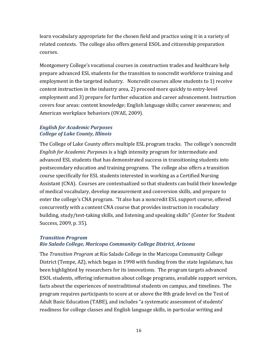learn vocabulary appropriate for the chosen field and practice using it in a variety of related contexts. The college also offers general ESOL and citizenship preparation courses.

Montgomery College's vocational courses in construction trades and healthcare help prepare advanced ESL students for the transition to noncredit workforce training and employment in the targeted industry. Noncredit courses allow students to 1) receive content instruction in the industry area, 2) proceed more quickly to entry‐level employment and 3) prepare for further education and career advancement. Instruction covers four areas: content knowledge; English language skills; career awareness; and American workplace behaviors (OVAE, 2009).

#### *English for Academic Purposes College of Lake County, Illinois*

The College of Lake County offers multiple ESL program tracks. The college's noncredit *English for Academic Purpo*ses is a high intensity program for intermediate and advanced ESL students that has demonstrated success in transitioning students into postsecondary education and training programs. The college also offers a transition course specifically for ESL students interested in working as a Certified Nursing Assistant (CNA). Courses are contextualized so that students can build their knowledge of medical vocabulary, develop measurement and conversion skills, and prepare to enter the college's CNA program. "It also has a noncredit ESL support course, offered concurrently with a content CNA course that provides instruction in vocabulary building, study/test‐taking skills, and listening and speaking skills" (Center for Student Success, 2009, p. 35).

#### *Transition Program Rio Salado College, Maricopa Community College District, Arizona*

The *Transition Program* at Rio Salado College in the Maricopa Community College District (Tempe, AZ), which began in 1998 with funding from the state legislature, has been highlighted by researchers for its innovations. The program targets advanced ESOL students, offering information about college programs, available support services, facts about the experiences of nontraditional students on campus, and timelines. The program requires participants to score at or above the 8th grade level on the Test of Adult Basic Education (TABE), and includes "a systematic assessment of students' readiness for college classes and English language skills, in particular writing and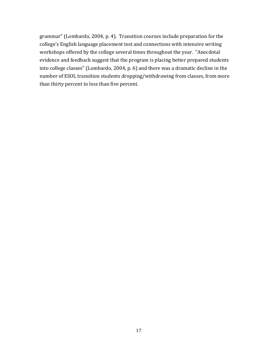grammar" (Lombardo, 2004, p. 4). Transition courses include preparation for the college's English language placement test and connections with intensive writing workshops offered by the college several times throughout the year. "Anecdotal evidence and feedback suggest that the program is placing better prepared students into college classes" (Lombardo, 2004, p. 6) and there was a dramatic decline in the number of ESOL transition students dropping/withdrawing from classes, from more than thirty percent to less than five percent.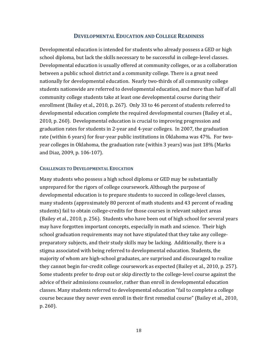#### **DEVELOPMENTAL EDUCATION AND COLLEGE READINESS**

Developmental education is intended for students who already possess a GED or high school diploma, but lack the skills necessary to be successful in college-level classes. Developmental education is usually offered at community colleges, or as a collaboration between a public school district and a community college. There is a great need nationally for developmental education. Nearly two-thirds of all community college students nationwide are referred to developmental education, and more than half of all community college students take at least one developmental course during their enrollment (Bailey et al., 2010, p. 267). Only 33 to 46 percent of students referred to developmental education complete the required developmental courses (Bailey et al., 2010, p. 260). Developmental education is crucial to improving progression and graduation rates for students in 2‐year and 4‐year colleges. In 2007, the graduation rate (within 6 years) for four-year public institutions in Oklahoma was 47%. For twoyear colleges in Oklahoma, the graduation rate (within 3 years) was just 18% (Marks and Diaz, 2009, p. 106‐107).

#### **CHALLENGES TO DEVELOPMENTAL EDUCATION**

Many students who possess a high school diploma or GED may be substantially unprepared for the rigors of college coursework. Although the purpose of developmental education is to prepare students to succeed in college‐level classes, many students (approximately 80 percent of math students and 43 percent of reading students) fail to obtain college‐credits for those courses in relevant subject areas (Bailey et al., 2010, p. 256). Students who have been out of high school for several years may have forgotten important concepts, especially in math and science. Their high school graduation requirements may not have stipulated that they take any college‐ preparatory subjects, and their study skills may be lacking. Additionally, there is a stigma associated with being referred to developmental education. Students, the majority of whom are high‐school graduates, are surprised and discouraged to realize they cannot begin for‐credit college coursework as expected (Bailey et al., 2010, p. 257). Some students prefer to drop out or skip directly to the college‐level course against the advice of their admissions counselor, rather than enroll in developmental education classes. Many students referred to developmental education "fail to complete a college course because they never even enroll in their first remedial course" (Bailey et al., 2010, p. 260).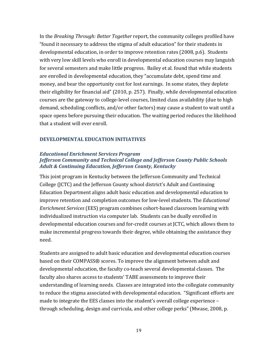In the *Breaking Through: Better Together* report, the community colleges profiled have "found it necessary to address the stigma of adult education" for their students in developmental education, in order to improve retention rates (2008, p.6). Students with very low skill levels who enroll in developmental education courses may languish for several semesters and make little progress. Bailey et al. found that while students are enrolled in developmental education, they "accumulate debt, spend time and money, and bear the opportunity cost for lost earnings. In some states, they deplete their eligibility for financial aid" (2010, p. 257). Finally, while developmental education courses are the gateway to college‐level courses, limited class availability (due to high demand, scheduling conflicts, and/or other factors) may cause a student to wait until a space opens before pursuing their education. The waiting period reduces the likelihood that a student will ever enroll.

#### **DEVELOPMENTAL EDUCATION INITIATIVES**

#### *Educational Enrichment Services Program Jefferson Community and Technical College and Jefferson County Public Schools Adult & Continuing Education, Jefferson County, Kentucky*

This joint program in Kentucky between the Jefferson Community and Technical College (JCTC) and the Jefferson County school district's Adult and Continuing Education Department aligns adult basic education and developmental education to improve retention and completion outcomes for low‐level students. The *Educational Enrichment Services* (EES) program combines cohort‐based classroom learning with individualized instruction via computer lab. Students can be dually enrolled in developmental education courses and for‐credit courses at JCTC, which allows them to make incremental progress towards their degree, while obtaining the assistance they need.

Students are assigned to adult basic education and developmental education courses based on their COMPASS® scores. To improve the alignment between adult and developmental education, the faculty co-teach several developmental classes. The faculty also shares access to students' TABE assessments to improve their understanding of learning needs. Classes are integrated into the collegiate community to reduce the stigma associated with developmental education. "Significant efforts are made to integrate the EES classes into the student's overall college experience – through scheduling, design and curricula, and other college perks" (Mwase, 2008, p.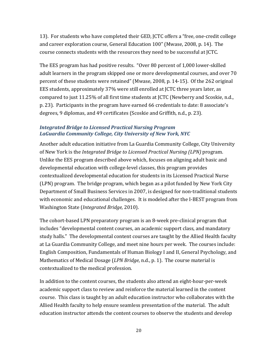13). For students who have completed their GED, JCTC offers a "free, one-credit college and career exploration course, General Education 100" (Mwase, 2008, p. 14). The course connects students with the resources they need to be successful at JCTC.

The EES program has had positive results. "Over 80 percent of 1,000 lower‐skilled adult learners in the program skipped one or more developmental courses, and over 70 percent of these students were retained" (Mwase, 2008, p. 14‐15). Of the 262 original EES students, approximately 37% were still enrolled at JCTC three years later, as compared to just 11.25% of all first time students at JCTC (Newberry and Scoskie, n.d., p. 23). Participants in the program have earned 66 credentials to date: 8 associate's degrees, 9 diplomas, and 49 certificates (Scoskie and Griffith, n.d., p. 23).

#### *Integrated Bridge to Licensed Practical Nursing Program LaGuardia Community College, City University of New York, NYC*

Another adult education initiative from La Guardia Community College, City University of New York is the *Integrated Bridge to Licensed Practical Nursing (LPN)* program. Unlike the EES program described above which, focuses on aligning adult basic and developmental education with college‐level classes, this program provides contextualized developmental education for students in its Licensed Practical Nurse (LPN) program. The bridge program, which began as a pilot funded by New York City Department of Small Business Services in 2007, is designed for non-traditional students with economic and educational challenges. It is modeled after the I-BEST program from Washington State (*Integrated Bridge,* 2010).

The cohort-based LPN preparatory program is an 8-week pre-clinical program that includes "developmental content courses, an academic support class, and mandatory study halls." The developmental content courses are taught by the Allied Health faculty at La Guardia Community College, and meet nine hours per week. The courses include: English Composition, Fundamentals of Human Biology I and II, General Psychology, and Mathematics of Medical Dosage (*LPN Bridge*, n.d., p. 1). The course material is contextualized to the medical profession.

In addition to the content courses, the students also attend an eight-hour-per-week academic support class to review and reinforce the material learned in the content course. This class is taught by an adult education instructor who collaborates with the Allied Health faculty to help ensure seamless presentation of the material. The adult education instructor attends the content courses to observe the students and develop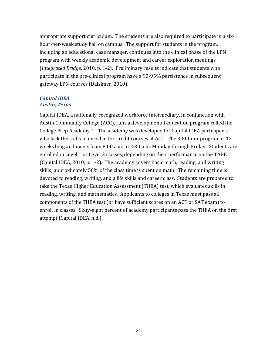appropriate support curriculum. The students are also required to participate in a six‐ hour-per-week study hall on campus. The support for students in the program, including an educational case manager, continues into the clinical phase of the LPN program with weekly academic development and career exploration meetings (*Integrated Bridge*, 2010, p. 1‐2). Preliminary results indicate that students who participate in the pre‐clinical program have a 90‐95% persistence in subsequent gateway LPN courses (Dalsimer, 2010).

#### *Capital IDEA Austin, Texas*

Capital IDEA, a nationally‐recognized workforce intermediary, in conjunction with Austin Community College (ACC), runs a developmental education program called the College Prep Academy ™. The academy was developed for Capital IDEA participants who lack the skills to enroll in for-credit courses at ACC. The 300-hour program is 12weeks long and meets from 8:00 a.m. to 2:30 p.m. Monday through Friday. Students are enrolled in Level 1 or Level 2 classes, depending on their performance on the TABE (Capital IDEA, 2010, p. 1‐2). The academy covers basic math, reading, and writing skills; approximately 50% of the class time is spent on math. The remaining time is devoted to reading, writing, and a life skills and career class. Students are prepared to take the Texas Higher Education Assessment (THEA) test, which evaluates skills in reading, writing, and mathematics. Applicants to colleges in Texas must pass all components of the THEA test (or have sufficient scores on an ACT or SAT exam) to enroll in classes. Sixty‐eight percent of academy participants pass the THEA on the first attempt (Capital IDEA, n.d.).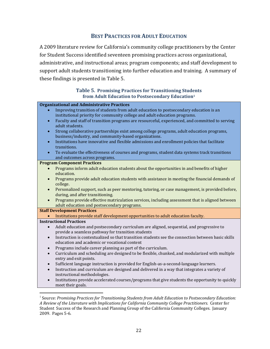#### **BEST PRACTICES FOR ADULT EDUCATION**

A 2009 literature review for California's community college practitioners by the Center for Student Success identified seventeen promising practices across organizational, administrative, and instructional areas; program components; and staff development to support adult students transitioning into further education and training. A summary of these findings is presented in Table 5.

#### **Table 5. Promising Practices for Transitioning Students from Adult Education to Postsecondary Education1**

|           | <b>Organizational and Administrative Practices</b>                                                |
|-----------|---------------------------------------------------------------------------------------------------|
|           | Improving transition of students from adult education to postsecondary education is an            |
|           | institutional priority for community college and adult education programs.                        |
| $\bullet$ | Faculty and staff of transition programs are resourceful, experienced, and committed to serving   |
|           | adult students.                                                                                   |
| $\bullet$ | Strong collaborative partnerships exist among college programs, adult education programs,         |
|           | business/industry, and community-based organizations.                                             |
| $\bullet$ | Institutions have innovative and flexible admissions and enrollment policies that facilitate      |
|           | transitions.                                                                                      |
| $\bullet$ | To evaluate the effectiveness of courses and programs, student data systems track transitions     |
|           | and outcomes across programs.                                                                     |
|           | <b>Program Component Practices</b>                                                                |
| $\bullet$ | Programs inform adult education students about the opportunities in and benefits of higher        |
|           | education.                                                                                        |
| $\bullet$ | Programs provide adult education students with assistance in meeting the financial demands of     |
|           | college.                                                                                          |
| $\bullet$ | Personalized support, such as peer mentoring, tutoring, or case management, is provided before,   |
|           | during, and after transitioning.                                                                  |
|           | Programs provide effective matriculation services, including assessment that is aligned between   |
|           | adult education and postsecondary programs.                                                       |
|           | <b>Staff Development Practices</b>                                                                |
|           | Institutions provide staff development opportunities to adult education faculty.                  |
|           |                                                                                                   |
|           |                                                                                                   |
|           | <b>Instructional Practices</b>                                                                    |
| $\bullet$ | Adult education and postsecondary curriculum are aligned, sequential, and progressive to          |
|           | provide a seamless pathway for transition students                                                |
| $\bullet$ | Instruction is contextualized so that transition students see the connection between basic skills |
|           | education and academic or vocational content                                                      |
| $\bullet$ | Programs include career planning as part of the curriculum.                                       |
| $\bullet$ | Curriculum and scheduling are designed to be flexible, chunked, and modularized with multiple     |
|           | entry and exit points.                                                                            |
| $\bullet$ | Sufficient language instruction is provided for English-as-a-second-language learners.            |
| $\bullet$ | Instruction and curriculum are designed and delivered in a way that integrates a variety of       |
|           | instructional methodologies.                                                                      |
| $\bullet$ | Institutions provide accelerated courses/programs that give students the opportunity to quickly   |
|           | meet their goals.                                                                                 |

<sup>1</sup> Source: *Promising Practices for Transitioning Students from Adult Education to Postsecondary Education: A Review of the Literature with Implications for California Community College Practitioners.* Center for Student Success of the Research and Planning Group of the California Community Colleges. January 2009. Pages 5‐6.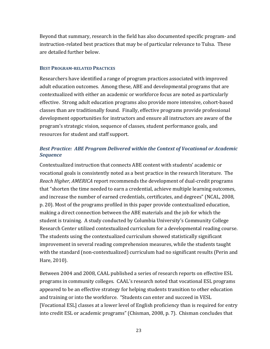Beyond that summary, research in the field has also documented specific program‐ and instruction‐related best practices that may be of particular relevance to Tulsa. These are detailed further below.

#### **BEST PROGRAM-RELATED PRACTICES**

Researchers have identified a range of program practices associated with improved adult education outcomes. Among these, ABE and developmental programs that are contextualized with either an academic or workforce focus are noted as particularly effective. Strong adult education programs also provide more intensive, cohort‐based classes than are traditionally found. Finally, effective programs provide professional development opportunities for instructors and ensure all instructors are aware of the program's strategic vision, sequence of classes, student performance goals, and resources for student and staff support.

#### *Best Practice: ABE Program Delivered within the Context of Vocational or Academic Sequence*

Contextualized instruction that connects ABE content with students' academic or vocational goals is consistently noted as a best practice in the research literature. The *Reach Higher, AMERICA* report recommends the development of dual‐credit programs that "shorten the time needed to earn a credential, achieve multiple learning outcomes, and increase the number of earned credentials, certificates, and degrees" (NCAL, 2008, p. 20). Most of the programs profiled in this paper provide contextualized education, making a direct connection between the ABE materials and the job for which the student is training. A study conducted by Columbia University's Community College Research Center utilized contextualized curriculum for a developmental reading course. The students using the contextualized curriculum showed statistically significant improvement in several reading comprehension measures, while the students taught with the standard (non-contextualized) curriculum had no significant results (Perin and Hare, 2010).

Between 2004 and 2008, CAAL published a series of research reports on effective ESL programs in community colleges. CAAL's research noted that vocational ESL programs appeared to be an effective strategy for helping students transition to other education and training or into the workforce. "Students can enter and succeed in VESL [Vocational ESL] classes at a lower level of English proficiency than is required for entry into credit ESL or academic programs" (Chisman, 2008, p. 7). Chisman concludes that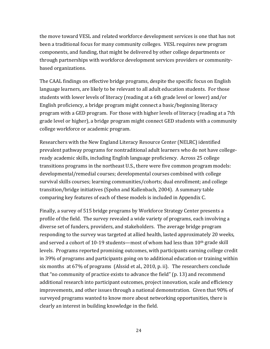the move toward VESL and related workforce development services is one that has not been a traditional focus for many community colleges. VESL requires new program components, and funding, that might be delivered by other college departments or through partnerships with workforce development services providers or community‐ based organizations.

The CAAL findings on effective bridge programs, despite the specific focus on English language learners, are likely to be relevant to all adult education students. For those students with lower levels of literacy (reading at a 6th grade level or lower) and/or English proficiency, a bridge program might connect a basic/beginning literacy program with a GED program. For those with higher levels of literacy (reading at a 7th grade level or higher), a bridge program might connect GED students with a community college workforce or academic program.

Researchers with the New England Literacy Resource Center (NELRC) identified prevalent pathway programs for nontraditional adult learners who do not have college‐ ready academic skills, including English language proficiency. Across 25 college transitions programs in the northeast U.S., there were five common program models: developmental/remedial courses; developmental courses combined with college survival skills courses; learning communities/cohorts; dual enrollment; and college transition/bridge initiatives (Spohn and Kallenbach, 2004). A summary table comparing key features of each of these models is included in Appendix C.

Finally, a survey of 515 bridge programs by Workforce Strategy Center presents a profile of the field. The survey revealed a wide variety of programs, each involving a diverse set of funders, providers, and stakeholders. The average bridge program responding to the survey was targeted at allied health, lasted approximately 20 weeks, and served a cohort of 10-19 students—most of whom had less than 10<sup>th</sup> grade skill levels. Programs reported promising outcomes, with participants earning college credit in 39% of programs and participants going on to additional education or training within six months at 67% of programs (Alssid et al., 2010, p. ii). The researchers conclude that "no community of practice exists to advance the field" (p. 13) and recommend additional research into participant outcomes, project innovation, scale and efficiency improvements, and other issues through a national demonstration. Given that 90% of surveyed programs wanted to know more about networking opportunities, there is clearly an interest in building knowledge in the field.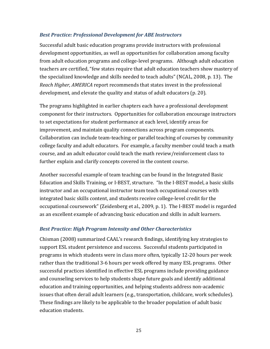#### *Best Practice: Professional Development for ABE Instructors*

Successful adult basic education programs provide instructors with professional development opportunities, as well as opportunities for collaboration among faculty from adult education programs and college‐level programs. Although adult education teachers are certified, "few states require that adult education teachers show mastery of the specialized knowledge and skills needed to teach adults" (NCAL, 2008, p. 13). The *Reach Higher, AMERICA* report recommends that states invest in the professional development, and elevate the quality and status of adult educators (p. 20).

The programs highlighted in earlier chapters each have a professional development component for their instructors. Opportunities for collaboration encourage instructors to set expectations for student performance at each level, identify areas for improvement, and maintain quality connections across program components. Collaboration can include team‐teaching or parallel teaching of courses by community college faculty and adult educators. For example, a faculty member could teach a math course, and an adult educator could teach the math review/reinforcement class to further explain and clarify concepts covered in the content course.

Another successful example of team teaching can be found in the Integrated Basic Education and Skills Training, or I‐BEST, structure. "In the I‐BEST model, a basic skills instructor and an occupational instructor team teach occupational courses with integrated basic skills content, and students receive college‐level credit for the occupational coursework" (Zeidenberg et al., 2009, p. 1). The I‐BEST model is regarded as an excellent example of advancing basic education and skills in adult learners.

#### *Best Practice: High Program Intensity and Other Characteristics*

Chisman (2008) summarized CAAL's research findings, identifying key strategies to support ESL student persistence and success. Successful students participated in programs in which students were in class more often, typically 12‐20 hours per week rather than the traditional 3‐6 hours per week offered by many ESL programs. Other successful practices identified in effective ESL programs include providing guidance and counseling services to help students shape future goals and identify additional education and training opportunities, and helping students address non‐academic issues that often derail adult learners (e.g., transportation, childcare, work schedules). These findings are likely to be applicable to the broader population of adult basic education students.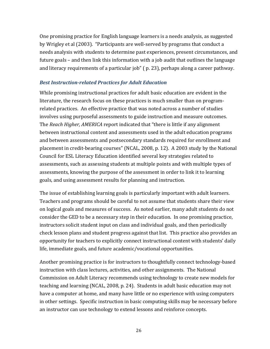One promising practice for English language learners is a needs analysis, as suggested by Wrigley et al (2003). "Participants are well‐served by programs that conduct a needs analysis with students to determine past experiences, present circumstances, and future goals – and then link this information with a job audit that outlines the language and literacy requirements of a particular job" ( p. 23), perhaps along a career pathway.

#### *Best Instructionrelated Practices for Adult Education*

While promising instructional practices for adult basic education are evident in the literature, the research focus on these practices is much smaller than on program‐ related practices. An effective practice that was noted across a number of studies involves using purposeful assessments to guide instruction and measure outcomes. The *Reach Higher, AMERICA* report indicated that "there is little if any alignment between instructional content and assessments used in the adult education programs and between assessments and postsecondary standards required for enrollment and placement in credit‐bearing courses" (NCAL, 2008, p. 12). A 2003 study by the National Council for ESL Literacy Education identified several key strategies related to assessments, such as assessing students at multiple points and with multiple types of assessments, knowing the purpose of the assessment in order to link it to learning goals, and using assessment results for planning and instruction.

The issue of establishing learning goals is particularly important with adult learners. Teachers and programs should be careful to not assume that students share their view on logical goals and measures of success. As noted earlier, many adult students do not consider the GED to be a necessary step in their education. In one promising practice, instructors solicit student input on class and individual goals, and then periodically check lesson plans and student progress against that list. This practice also provides an opportunity for teachers to explicitly connect instructional content with students' daily life, immediate goals, and future academic/vocational opportunities.

Another promising practice is for instructors to thoughtfully connect technology‐based instruction with class lectures, activities, and other assignments. The National Commission on Adult Literacy recommends using technology to create new models for teaching and learning (NCAL, 2008, p. 24). Students in adult basic education may not have a computer at home, and many have little or no experience with using computers in other settings. Specific instruction in basic computing skills may be necessary before an instructor can use technology to extend lessons and reinforce concepts.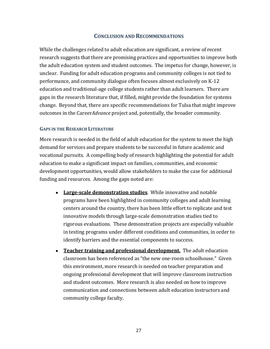#### **CONCLUSION AND RECOMMENDATIONS**

While the challenges related to adult education are significant, a review of recent research suggests that there are promising practices and opportunities to improve both the adult education system and student outcomes. The impetus for change, however, is unclear. Funding for adult education programs and community colleges is not tied to performance, and community dialogue often focuses almost exclusively on K‐12 education and traditional‐age college students rather than adult learners. There are gaps in the research literature that, if filled, might provide the foundation for systems change. Beyond that, there are specific recommendations for Tulsa that might improve outcomes in the Career*Advance* project and, potentially, the broader community.

#### **GAPS IN THE RESEARCH LITERATURE**

More research is needed in the field of adult education for the system to meet the high demand for services and prepare students to be successful in future academic and vocational pursuits. A compelling body of research highlighting the potential for adult education to make a significant impact on families, communities, and economic development opportunities, would allow stakeholders to make the case for additional funding and resources. Among the gaps noted are:

- **Largescale demonstration studies**. While innovative and notable programs have been highlighted in community colleges and adult learning centers around the country, there has been little effort to replicate and test innovative models through large‐scale demonstration studies tied to rigorous evaluations. These demonstration projects are especially valuable in testing programs under different conditions and communities, in order to identify barriers and the essential components to success.
- **Teacher training and professional development.** The adult education classroom has been referenced as "the new one‐room schoolhouse." Given this environment, more research is needed on teacher preparation and ongoing professional development that will improve classroom instruction and student outcomes. More research is also needed on how to improve communication and connections between adult education instructors and community college faculty.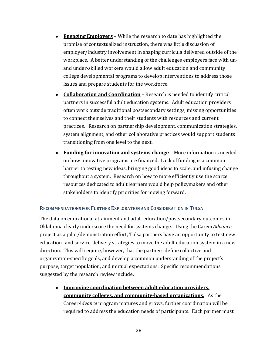- **Engaging Employers** While the research to date has highlighted the promise of contextualized instruction, there was little discussion of employer/industry involvement in shaping curricula delivered outside of the workplace. A better understanding of the challenges employers face with unand under‐skilled workers would allow adult education and community college developmental programs to develop interventions to address those issues and prepare students for the workforce.
- **Collaboration and Coordination** Research is needed to identify critical partners in successful adult education systems. Adult education providers often work outside traditional postsecondary settings, missing opportunities to connect themselves and their students with resources and current practices. Research on partnership development, communication strategies, system alignment, and other collaborative practices would support students transitioning from one level to the next.
- **Funding for innovation and systems change** More information is needed on how innovative programs are financed. Lack of funding is a common barrier to testing new ideas, bringing good ideas to scale, and infusing change throughout a system. Research on how to more efficiently use the scarce resources dedicated to adult learners would help policymakers and other stakeholders to identify priorities for moving forward.

#### **RECOMMENDATIONS FOR FURTHER EXPLORATION AND CONSIDERATION IN TULSA**

The data on educational attainment and adult education/postsecondary outcomes in Oklahoma clearly underscore the need for systems change. Using the Career*Advance* project as a pilot/demonstration effort, Tulsa partners have an opportunity to test new education- and service-delivery strategies to move the adult education system in a new direction. This will require, however, that the partners define collective and organization‐specific goals, and develop a common understanding of the project's purpose, target population, and mutual expectations. Specific recommendations suggested by the research review include:

● **Improving coordination between adult education providers, community colleges, and communitybased organizations.** As the Career*Advance* program matures and grows, further coordination will be required to address the education needs of participants. Each partner must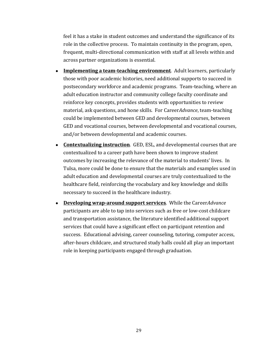feel it has a stake in student outcomes and understand the significance of its role in the collective process. To maintain continuity in the program, open, frequent, multi‐directional communication with staff at all levels within and across partner organizations is essential.

- **Implementing a teamteaching environment**. Adult learners, particularly those with poor academic histories, need additional supports to succeed in postsecondary workforce and academic programs. Team‐teaching, where an adult education instructor and community college faculty coordinate and reinforce key concepts, provides students with opportunities to review material, ask questions, and hone skills. For Career*Advance*, team‐teaching could be implemented between GED and developmental courses, between GED and vocational courses, between developmental and vocational courses, and/or between developmental and academic courses.
- **Contextualizing instruction**. GED, ESL, and developmental courses that are contextualized to a career path have been shown to improve student outcomes by increasing the relevance of the material to students' lives. In Tulsa, more could be done to ensure that the materials and examples used in adult education and developmental courses are truly contextualized to the healthcare field, reinforcing the vocabulary and key knowledge and skills necessary to succeed in the healthcare industry.
- **Developing wraparound support services**. While the Career*Advance* participants are able to tap into services such as free or low‐cost childcare and transportation assistance, the literature identified additional support services that could have a significant effect on participant retention and success. Educational advising, career counseling, tutoring, computer access, after‐hours childcare, and structured study halls could all play an important role in keeping participants engaged through graduation.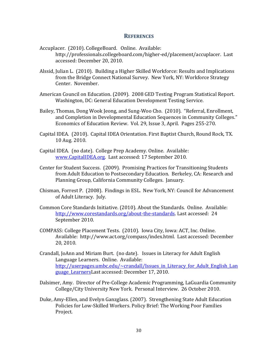#### **REFERENCES**

- Accuplacer. (2010). CollegeBoard. Online. Available: http://professionals.collegeboard.com/higher‐ed/placement/accuplacer. Last accessed: December 20, 2010.
- Alssid, Julian L. (2010). Building a Higher Skilled Workforce: Results and Implications from the Bridge Connect National Survey. New York, NY: Workforce Strategy Center. November.
- American Council on Education. (2009). 2008 GED Testing Program Statistical Report. Washington, DC: General Education Development Testing Service.
- Bailey, Thomas, Dong Wook Jeong, and Sung‐Woo Cho. (2010). "Referral, Enrollment, and Completion in Developmental Education Sequences in Community Colleges." Economics of Education Review. Vol. 29, Issue 3, April. Pages 255‐270.
- Capital IDEA. (2010). Capital IDEA Orientation. First Baptist Church, Round Rock, TX. 10 Aug. 2010.
- Capital IDEA. (no date). College Prep Academy. Online. Available: www.CapitalIDEA.org. Last accessed: 17 September 2010.
- Center for Student Success. (2009). Promising Practices for Transitioning Students from Adult Education to Postsecondary Education. Berkeley, CA: Research and Planning Group, California Community Colleges. January.
- Chisman, Forrest P. (2008). Findings in ESL. New York, NY: Council for Advancement of Adult Literacy. July.
- Common Core Standards Initiative. (2010). About the Standards. Online. Available: http://www.corestandards.org/about-the-standards. Last accessed: 24 September 2010.
- COMPASS: College Placement Tests. (2010). Iowa City, Iowa: ACT, Inc. Online. Available: http://www.act.org/compass/index.html. Last accessed: December 20, 2010.
- Crandall, JoAnn and Miriam Burt. (no date). Issues in Literacy for Adult English Language Learners. Online. Available: http://userpages.umbc.edu/~crandall/Issues in Literacy for Adult English Lan guage\_LearnersLast accessed: December 17, 2010.
- Dalsimer, Amy. Director of Pre‐College Academic Programming, LaGuardia Community College/City University New York. Personal Interview. 26 October 2010.
- Duke, Amy‐Ellen, and Evelyn Ganzglass. (2007). Strengthening State Adult Education Policies for Low‐Skilled Workers. Policy Brief: The Working Poor Families Project.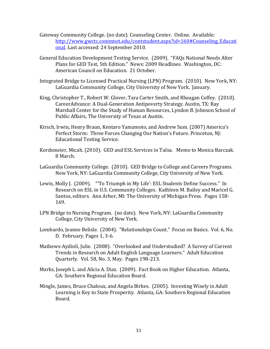- Gateway Community College. (no date). Counseling Center. Online. Available: http://www.gwctc.commnet.edu/contstudent.aspx?id=160#Counseling\_Educati onal. Last accessed: 24 September 2010.
- General Education Development Testing Service. (2009). "FAQs National Needs Alter Plans for GED Test, 5th Edition." News: 2009 Headlines. Washington, DC: American Council on Education. 21 October.
- Integrated Bridge to Licensed Practical Nursing (LPN) Program. (2010). New York, NY: LaGuardia Community College, City University of New York. January.
- King, Christopher T., Robert W. Glover, Tara Carter Smith, and Rheagan Coffey. (2010). CareerAdvance: A Dual‐Generation Antipoverty Strategy. Austin, TX: Ray Marshall Center for the Study of Human Resources, Lyndon B. Johnson School of Public Affairs, The University of Texas at Austin.
- Kirsch, Irwin, Henry Braun, Kentaro Yamamoto, and Andrew Sum. (2007) America's Perfect Storm: Three Forces Changing Our Nation's Future. Princeton, NJ: Educational Testing Service.
- Kordsmeier, Micah. (2010). GED and ESL Services in Tulsa. Memo to Monica Barczak. 8 March.
- LaGuardia Community College. (2010). GED Bridge to College and Careers Programs. New York, NY: LaGuardia Community College, City University of New York.
- Lewis, Molly J. (2009). "'To Triumph in My Life': ESL Students Define Success." In Research on ESL in U.S. Community Colleges. Kathleen M. Bailey and Maricel G. Santos, editors. Ann Arbor, MI: The University of Michigan Press. Pages 158‐ 169.
- LPN Bridge to Nursing Program. (no date). New York, NY: LaGuardia Community College, City University of New York.
- Lombardo, Jeanne Belisle. (2004). "Relationships Count." Focus on Basics. Vol. 6, No. D. February. Pages 1, 3‐6.
- Mathews‐Aydinli, Julie. (2008). "Overlooked and Understudied? A Survey of Current Trends in Research on Adult English Language Learners." Adult Education Quarterly. Vol. 58, No. 3, May. Pages 198‐213.
- Marks, Joseph L. and Alicia A. Diaz. (2009). Fact Book on Higher Education. Atlanta, GA: Southern Regional Education Board.
- Mingle, James, Bruce Chaloux, and Angela Birkes. (2005). Investing Wisely in Adult Learning is Key to State Prosperity. Atlanta, GA: Southern Regional Education Board.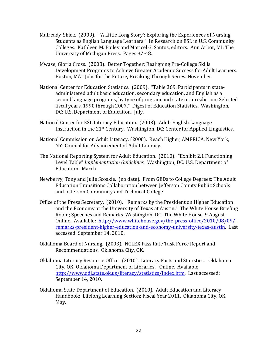- Mulready‐Shick. (2009). "'A Little Long Story': Exploring the Experiences of Nursing Students as English Language Learners." In Research on ESL in U.S. Community Colleges. Kathleen M. Bailey and Maricel G. Santos, editors. Ann Arbor, MI: The University of Michigan Press. Pages 37‐48.
- Mwase, Gloria Cross. (2008). Better Together: Realigning Pre‐College Skills Development Programs to Achieve Greater Academic Success for Adult Learners. Boston, MA: Jobs for the Future, Breaking Through Series. November.
- National Center for Education Statistics. (2009). "Table 369. Participants in state‐ administered adult basic education, secondary education, and English as a second language programs, by type of program and state or jurisdiction: Selected fiscal years, 1990 through 2007." Digest of Education Statistics. Washington, DC: U.S. Department of Education. July.
- National Center for ESL Literacy Education. (2003). Adult English Language Instruction in the 21st Century. Washington, DC: Center for Applied Linguistics.
- National Commission on Adult Literacy. (2008). Reach Higher, AMERICA. New York, NY: Council for Advancement of Adult Literacy.
- The National Reporting System for Adult Education. (2010). "Exhibit 2.1 Functioning Level Table" *Implementation Guidelines.* Washington, DC: U.S. Department of Education. March.
- Newberry, Tony and Julie Scoskie. (no date). From GEDs to College Degrees: The Adult Education Transitions Collaboration between Jefferson County Public Schools and Jefferson Community and Technical College.
- Office of the Press Secretary. (2010). "Remarks by the President on Higher Education and the Economy at the University of Texas at Austin." The White House Briefing Room; Speeches and Remarks. Washington, DC: The White House. 9 August. Online. Available: http://www.whitehouse.gov/the‐press‐office/2010/08/09/ remarks‐president‐higher‐education‐and‐economy‐university‐texas‐austin. Last accessed: September 14, 2010.
- Oklahoma Board of Nursing. (2003). NCLEX Pass Rate Task Force Report and Recommendations. Oklahoma City, OK.
- Oklahoma Literacy Resource Office. (2010). Literacy Facts and Statistics. Oklahoma City, OK: Oklahoma Department of Libraries. Online. Available: http://www.odl.state.ok.us/literacy/statistics/index.htm. Last accessed: September 14, 2010.
- Oklahoma State Department of Education. (2010). Adult Education and Literacy Handbook: Lifelong Learning Section; Fiscal Year 2011. Oklahoma City, OK. May.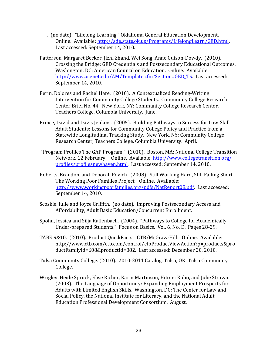- ‐ ‐ ‐. (no date). "Lifelong Learning." Oklahoma General Education Development. Online. Available: http://sde.state.ok.us/Programs/LifelongLearn/GED.html. Last accessed: September 14, 2010.
- Patterson, Margaret Becker, Jizhi Zhand, Wei Song, Anne Guison‐Dowdy. (2010). Crossing the Bridge: GED Credentials and Postsecondary Educational Outcomes. Washington, DC: American Council on Education. Online. Available: http://www.acenet.edu/AM/Template.cfm?Section=GED\_TS. Last accessed: September 14, 2010.
- Perin, Dolores and Rachel Hare. (2010). A Contextualized Reading‐Writing Intervention for Community College Students. Community College Research Center Brief No. 44. New York, NY: Community College Research Center, Teachers College, Columbia University. June.
- Prince, David and Davis Jenkins. (2005). Building Pathways to Success for Low‐Skill Adult Students: Lessons for Community College Policy and Practice from a Statewide Longitudinal Tracking Study. New York, NY: Community College Research Center, Teachers College, Columbia University. April.
- "Program Profiles The GAP Program." (2010). Boston, MA: National College Transition Network. 12 February. Online. Available: http://www.collegetransition.org/ profiles/profilesnewhaven.html. Last accessed: September 14, 2010.
- Roberts, Brandon, and Deborah Povich. (2008). Still Working Hard, Still Falling Short. The Working Poor Families Project. Online. Available: http://www.workingpoorfamilies.org/pdfs/NatReport08.pdf. Last accessed: September 14, 2010.
- Scoskie, Julie and Joyce Griffith. (no date). Improving Postsecondary Access and Affordability, Adult Basic Education/Concurrent Enrollment.
- Spohn, Jessica and Silja Kallenbach. (2004). "Pathways to College for Academically Under‐prepared Students." Focus on Basics. Vol. 6, No. D. Pages 28‐29.
- TABE 9&10. (2010). Product QuickFacts. CTB/McGraw‐Hill. Online. Available: http://www.ctb.com/ctb.com/control/ctbProductViewAction?p=products&pro ductFamilyId=608&productId=882. Last accessed: December 20, 2010.
- Tulsa Community College. (2010). 2010‐2011 Catalog. Tulsa, OK: Tulsa Community College.
- Wrigley, Heide Spruck, Elise Richer, Karin Martinson, Hitomi Kubo, and Julie Strawn. (2003). The Language of Opportunity: Expanding Employment Prospects for Adults with Limited English Skills. Washington, DC: The Center for Law and Social Policy, the National Institute for Literacy, and the National Adult Education Professional Development Consortium. August.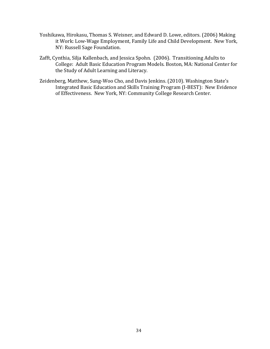- Yoshikawa, Hirokasu, Thomas S. Weisner, and Edward D. Lowe, editors. (2006) Making it Work: Low‐Wage Employment, Family Life and Child Development. New York, NY: Russell Sage Foundation.
- Zafft, Cynthia, Silja Kallenbach, and Jessica Spohn. (2006). Transitioning Adults to College: Adult Basic Education Program Models. Boston, MA: National Center for the Study of Adult Learning and Literacy.
- Zeidenberg, Matthew, Sung‐Woo Cho, and Davis Jenkins. (2010). Washington State's Integrated Basic Education and Skills Training Program (I‐BEST): New Evidence of Effectiveness. New York, NY: Community College Research Center.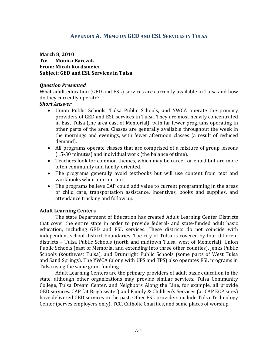#### **APPENDIX A. MEMO ON GED AND ESL SERVICES IN TULSA**

**March 8, 2010 To: Monica Barczak From: Micah Kordsmeier Subject: GED and ESL Services in Tulsa**

#### *Question Presented*

What adult education (GED and ESL) services are currently available in Tulsa and how do they currently operate?

#### *Short Answer*

- Union Public Schools, Tulsa Public Schools, and YWCA operate the primary providers of GED and ESL services in Tulsa. They are most heavily concentrated in East Tulsa (the area east of Memorial), with far fewer programs operating in other parts of the area. Classes are generally available throughout the week in the mornings and evenings, with fewer afternoon classes (a result of reduced demand).
- All programs operate classes that are comprised of a mixture of group lessons (15‐30 minutes) and individual work (the balance of time).
- Teachers look for common themes, which may be career‐oriented but are more often community and family‐oriented.
- The programs generally avoid textbooks but will use content from text and workbooks when appropriate.
- The programs believe CAP could add value to current programming in the areas of child care, transportation assistance, incentives, books and supplies, and attendance tracking and follow up.

#### **Adult Learning Centers**

The state Department of Education has created Adult Learning Center Districts that cover the entire state in order to provide federal‐ and state‐funded adult basic education, including GED and ESL services. These districts do not coincide with independent school district boundaries. The city of Tulsa is covered by four different districts – Tulsa Public Schools (north and midtown Tulsa, west of Memorial), Union Public Schools (east of Memorial and extending into three other counties), Jenks Public Schools (southwest Tulsa), and Drumright Public Schools (some parts of West Tulsa and Sand Springs). The YWCA (along with UPS and TPS) also operates ESL programs in Tulsa using the same grant funding.

Adult Learning Centers are the primary providers of adult basic education in the state, although other organizations may provide similar services. Tulsa Community College, Tulsa Dream Center, and Neighbors Along the Line, for example, all provide GED services. CAP (at Brightwater) and Family & Children's Services (at CAP ECP sites) have delivered GED services in the past. Other ESL providers include Tulsa Technology Center (serves employers only), TCC, Catholic Charities, and some places of worship.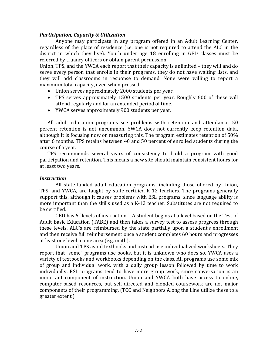#### *Participation, Capacity & Utilization*

Anyone may participate in any program offered in an Adult Learning Center, regardless of the place of residence (i.e. one is not required to attend the ALC in the district in which they live). Youth under age 18 enrolling in GED classes must be referred by truancy officers or obtain parent permission.

Union, TPS, and the YWCA each report that their capacity is unlimited – they will and do serve every person that enrolls in their programs, they do not have waiting lists, and they will add classrooms in response to demand. None were willing to report a maximum total capacity, even when pressed.

- Union serves approximately 2000 students per year.
- TPS serves approximately 1500 students per year. Roughly 600 of these will attend regularly and for an extended period of time.
- YWCA serves approximately 900 students per year.

All adult education programs see problems with retention and attendance. 50 percent retention is not uncommon. YWCA does not currently keep retention data, although it is focusing now on measuring this. The program estimates retention of 50% after 6 months. TPS retains between 40 and 50 percent of enrolled students during the course of a year.

TPS recommends several years of consistency to build a program with good participation and retention. This means a new site should maintain consistent hours for at least two years.

#### *Instruction*

All state-funded adult education programs, including those offered by Union, TPS, and YWCA, are taught by state‐certified K‐12 teachers. The programs generally support this, although it causes problems with ESL programs, since language ability is more important than the skills used as a K‐12 teacher. Substitutes are not required to be certified.

GED has 6 "levels of instruction." A student begins at a level based on the Test of Adult Basic Education (TABE) and then takes a survey test to assess progress through these levels. ALC's are reimbursed by the state partially upon a student's enrollment and then receive full reimbursement once a student completes 60 hours and progresses at least one level in one area (e.g. math).

Union and TPS avoid textbooks and instead use individualized worksheets. They report that "some" programs use books, but it is unknown who does so. YWCA uses a variety of textbooks and workbooks depending on the class. All programs use some mix of group and individual work, with a daily group lesson followed by time to work individually. ESL programs tend to have more group work, since conversation is an important component of instruction. Union and YWCA both have access to online, computer‐based resources, but self‐directed and blended coursework are not major components of their programming. (TCC and Neighbors Along the Line utilize these to a greater extent.)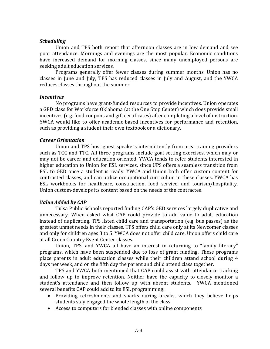#### *Scheduling*

Union and TPS both report that afternoon classes are in low demand and see poor attendance. Mornings and evenings are the most popular. Economic conditions have increased demand for morning classes, since many unemployed persons are seeking adult education services.

Programs generally offer fewer classes during summer months. Union has no classes in June and July, TPS has reduced classes in July and August, and the YWCA reduces classes throughout the summer.

#### *Incentives*

No programs have grant‐funded resources to provide incentives. Union operates a GED class for Workforce Oklahoma (at the One Stop Center) which does provide small incentives (e.g. food coupons and gift certificates) after completing a level of instruction. YWCA would like to offer academic-based incentives for performance and retention, such as providing a student their own textbook or a dictionary.

#### *Career Orientation*

Union and TPS host guest speakers intermittently from area training providers such as TCC and TTC. All three programs include goal‐setting exercises, which may or may not be career and education‐oriented. YWCA tends to refer students interested in higher education to Union for ESL services, since UPS offers a seamless transition from ESL to GED once a student is ready. YWCA and Union both offer custom content for contracted classes, and can utilize occupational curriculum in these classes. YWCA has ESL workbooks for healthcare, construction, food service, and tourism/hospitality. Union custom‐develops its content based on the needs of the contractee.

#### *Value Added by CAP*

Tulsa Public Schools reported finding CAP's GED services largely duplicative and unnecessary. When asked what CAP could provide to add value to adult education instead of duplicating, TPS listed child care and transportation (e.g. bus passes) as the greatest unmet needs in their classes. TPS offers child care only at its Newcomer classes and only for children ages 3 to 5. YWCA does not offer child care. Union offers child care at all Green Country Event Center classes.

Union, TPS, and YWCA all have an interest in returning to "family literacy" programs, which have been suspended due to loss of grant funding. These programs place parents in adult education classes while their children attend school during 4 days per week, and on the fifth day the parent and child attend class together.

TPS and YWCA both mentioned that CAP could assist with attendance tracking and follow up to improve retention. Neither have the capacity to closely monitor a student's attendance and then follow up with absent students. YWCA mentioned several benefits CAP could add to its ESL programming:

- Providing refreshments and snacks during breaks, which they believe helps students stay engaged the whole length of the class
- Access to computers for blended classes with online components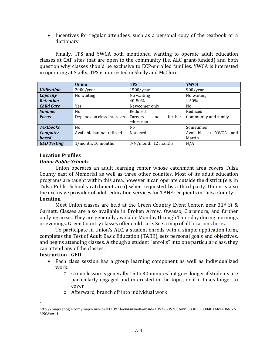• Incentives for regular attendees, such as a personal copy of the textbook or a dictionary

Finally, TPS and YWCA both mentioned wanting to operate adult education classes at CAP sites that are open to the community (i.e. ALC grant‐funded) and both question why classes should be exclusive to ECP‐enrolled families. YWCA is interested in operating at Skelly; TPS is interested in Skelly and McClure.

|                    | <b>Union</b>               | <b>TPS</b>                | <b>YWCA</b>              |  |  |
|--------------------|----------------------------|---------------------------|--------------------------|--|--|
| <b>Utilization</b> | $2000$ /year               | $1500$ /year              | 900/year                 |  |  |
| <b>Capacity</b>    | No waiting                 | No waiting                | No waiting               |  |  |
| <b>Retention</b>   |                            | 40-50%                    | $~1.50\%$                |  |  |
| <b>Child Care</b>  | Yes                        | Newcomer only             | N <sub>0</sub>           |  |  |
| <b>Summer</b>      | N <sub>0</sub>             | Reduced                   | Reduced                  |  |  |
| <b>Focus</b>       | Depends on class interests | further<br>and<br>Careers | Community and family     |  |  |
|                    |                            | education                 |                          |  |  |
| <b>Textbooks</b>   | N <sub>0</sub>             | No.                       | Sometimes                |  |  |
| Computer-          | Available but not utilized | Not used                  | Available at YWCA<br>and |  |  |
| <b>based</b>       |                            | Martin                    |                          |  |  |
| <b>GED Testing</b> | 1/month, 10 months         | 3-4 /month, 12 months     | N/A                      |  |  |

#### **Location Profiles**

#### *Union Public Schools*

Union operates an adult learning center whose catchment area covers Tulsa County east of Memorial as well as three other counties. Most of its adult education programs are taught within this area, however it can operate outside the district (e.g. in Tulsa Public School's catchment area) when requested by a third‐party. Union is also the exclusive provider of adult education services for TANF recipients in Tulsa County.

#### **Location**

Most Union classes are held at the Green Country Event Center, near  $31^{st}$  St & Garnett. Classes are also available in Broken Arrow, Owasso, Claremore, and further outlying areas. They are generally available Monday through Thursday during mornings or evenings. Green Country classes offer child care. See a map of all locations here.<sup>2</sup>

To participate in Union's ALC, a student enrolls with a simple application form, completes the Test of Adult Basic Education (TABE), sets personal goals and objectives, and begins attending classes. Although a student "enrolls" into one particular class, they can attend any of the classes.

#### **Instruction GED**

- Each class session has a group learning component as well as individualized work.
	- o Group lesson is generally 15 to 30 minutes but goes longer if students are particularly engaged and interested in the topic, or if it takes longer to cover
	- o Afterward, branch off into individual work

 2

http://maps.google.com/maps/ms?ie=UTF8&hl=en&msa=0&msid=105726852836499033035.0004814fcee06f676  $3f90&7=11$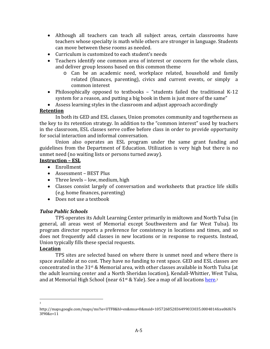- Although all teachers can teach all subject areas, certain classrooms have teachers whose specialty is math while others are stronger in language. Students can move between these rooms as needed.
- Curriculum is customized to each student's needs
- Teachers identify one common area of interest or concern for the whole class, and deliver group lessons based on this common theme
	- o Can be an academic need, workplace related, household and family related (finances, parenting), civics and current events, or simply a common interest
- Philosophically opposed to textbooks "students failed the traditional K-12 system for a reason, and putting a big book in them is just more of the same"
- Assess learning styles in the classroom and adjust approach accordingly

#### **Retention**

In both its GED and ESL classes, Union promotes community and togetherness as the key to its retention strategy. In addition to the "common interest" used by teachers in the classroom, ESL classes serve coffee before class in order to provide opportunity for social interaction and informal conversation.

Union also operates an ESL program under the same grant funding and guidelines from the Department of Education. Utilization is very high but there is no unmet need (no waiting lists or persons turned away).

#### **Instruction – ESL**

- Enrollment
- Assessment BEST Plus
- Three levels low, medium, high
- Classes consist largely of conversation and worksheets that practice life skills (e.g. home finances, parenting)
- Does not use a textbook

#### *Tulsa Public Schools*

TPS operates its Adult Learning Center primarily in midtown and North Tulsa (in general, all areas west of Memorial except Southwestern and far West Tulsa). Its program director reports a preference for consistency in locations and times, and so does not frequently add classes in new locations or in response to requests. Instead, Union typically fills these special requests.

#### **Location**

TPS sites are selected based on where there is unmet need and where there is space available at no cost. They have no funding to rent space. GED and ESL classes are concentrated in the 31<sup>st</sup> & Memorial area, with other classes available in North Tulsa (at the adult learning center and a North Sheridan location), Kendall‐Whittier, West Tulsa, and at Memorial High School (near  $61<sup>st</sup>$  & Yale). See a map of all locations here.<sup>3</sup>

 3

http://maps.google.com/maps/ms?ie=UTF8&hl=en&msa=0&msid=105726852836499033035.0004814fcee06f676  $3f90&7=11$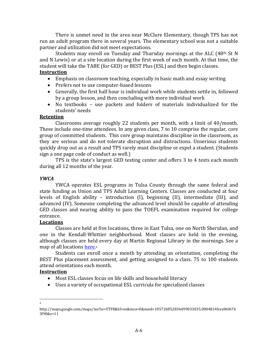There is unmet need in the area near McClure Elementary, though TPS has not run an adult program there in several years. The elementary school was not a suitable partner and utilization did not meet expectations.

Students may enroll on Tuesday and Thursday mornings at the ALC (48<sup>th</sup> St N and N Lewis) or at a site location during the first week of each month. At that time, the student will take the TABE (for GED) or BEST Plus (ESL) and then begin classes. **Instruction**

- Emphasis on classroom teaching, especially in basic math and essay writing
- Prefers not to use computer-based lessons
- Generally, the first half hour is individual work while students settle in, followed by a group lesson, and then concluding with more individual work
- No textbooks use packets and folders of materials individualized for the students' needs

#### **Retention**

Classrooms average roughly 22 students per month, with a limit of  $40/m$ onth. These include one-time attendees. In any given class, 7 to 10 comprise the regular, core group of committed students. This core group maintains discipline in the classroom, as they are serious and do not tolerate disruption and distractions. Unserious students quickly drop out as a result and TPS rarely must discipline or expel a student. (Students sign a one page code of conduct as well.)

TPS is the state's largest GED testing center and offers 3 to 4 tests each month during all 12 months of the year.

#### *YWCA*

YWCA operates ESL programs in Tulsa County through the same federal and state funding as Union and TPS Adult Learning Centers. Classes are conducted at four levels of English ability – introduction (I), beginning (II), intermediate (III), and advanced (IV). Someone completing the advanced level should be capable of attending GED classes and nearing ability to pass the TOEFL examination required for college entrance.

#### **Locations**

Classes are held at five locations, three in East Tulsa, one on North Sheridan, and one in the Kendall-Whittier neighborhood. Most classes are held in the evening, although classes are held every day at Martin Regional Library in the mornings. See a map of all locations here.4

Students can enroll once a month by attending an orientation, completing the BEST Plus placement assessment, and getting assigned to a class. 75 to 100 students attend orientations each month.

#### **Instruction**

- Most ESL classes focus on life skills and household literacy
- Uses a variety of occupational ESL curricula for specialized classes

 4

http://maps.google.com/maps/ms?ie=UTF8&hl=en&msa=0&msid=105726852836499033035.0004814fcee06f676  $3f90&7=11$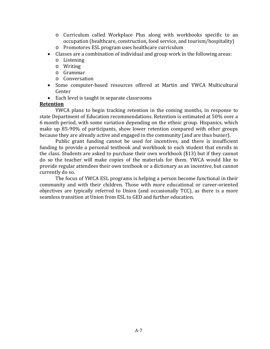- o Curriculum called Workplace Plus along with workbooks specific to an occupation (healthcare, construction, food service, and tourism/hospitality)
- o Promotores ESL program uses healthcare curriculum
- Classes are a combination of individual and group work in the following areas:
	- o Listening
	- o Writing
	- o Grammar
	- o Conversation
- Some computer-based resources offered at Martin and YWCA Multicultural Center
- Each level is taught in separate classrooms

#### **Retention**

YWCA plans to begin tracking retention in the coming months, in response to state Department of Education recommendations. Retention is estimated at 50% over a 6 month period, with some variation depending on the ethnic group. Hispanics, which make up 85-90% of participants, show lower retention compared with other groups because they are already active and engaged in the community (and are thus busier).

Public grant funding cannot be used for incentives, and there is insufficient funding to provide a personal textbook and workbook to each student that enrolls in the class. Students are asked to purchase their own workbook (\$13) but if they cannot do so the teacher will make copies of the materials for them. YWCA would like to provide regular attendees their own textbook or a dictionary as an incentive, but cannot currently do so.

The focus of YWCA ESL programs is helping a person become functional in their community and with their children. Those with more educational or career-oriented objectives are typically referred to Union (and occasionally TCC), as there is a more seamless transition at Union from ESL to GED and further education.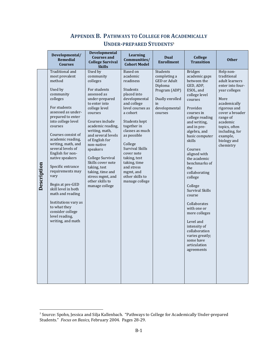#### **APPENDIX B. PATHWAYS TO COLLEGE FOR ACADEMICALLY UNDERPREPARED STUDENTS<sup>5</sup>**

|             | Developmental/<br><b>Remedial</b><br><b>Courses</b>                                                                                                                                                                                                                                                                                                                                                                                                                                                                         | Developmental<br><b>Courses and</b><br><b>College Survival</b><br><b>Skills</b>                                                                                                                                                                                                                                                                                                                  | <b>Learning</b><br>Communities/<br><b>Cohort Model</b>                                                                                                                                                                                                                                                                                                   | <b>Dual</b><br><b>Enrollment</b>                                                                                                 | College<br><b>Transition</b>                                                                                                                                                                                                                                                                                                                                                                                                                                                                                                           | <b>Other</b>                                                                                                                                                                                                                                  |
|-------------|-----------------------------------------------------------------------------------------------------------------------------------------------------------------------------------------------------------------------------------------------------------------------------------------------------------------------------------------------------------------------------------------------------------------------------------------------------------------------------------------------------------------------------|--------------------------------------------------------------------------------------------------------------------------------------------------------------------------------------------------------------------------------------------------------------------------------------------------------------------------------------------------------------------------------------------------|----------------------------------------------------------------------------------------------------------------------------------------------------------------------------------------------------------------------------------------------------------------------------------------------------------------------------------------------------------|----------------------------------------------------------------------------------------------------------------------------------|----------------------------------------------------------------------------------------------------------------------------------------------------------------------------------------------------------------------------------------------------------------------------------------------------------------------------------------------------------------------------------------------------------------------------------------------------------------------------------------------------------------------------------------|-----------------------------------------------------------------------------------------------------------------------------------------------------------------------------------------------------------------------------------------------|
| Description | Traditional and<br>most prevalent<br>method<br>Used by<br>community<br>colleges<br>For students<br>assessed as under-<br>prepared to enter<br>into college level<br>courses<br>Courses consist of<br>academic reading,<br>writing, math, and<br>several levels of<br>English for non-<br>native speakers<br>Specific entrance<br>requirements may<br>vary<br>Begin at pre-GED<br>skill level in both<br>math and reading<br>Institutions vary as<br>to what they<br>consider college<br>level reading,<br>writing, and math | Used by<br>community<br>colleges<br>For students<br>assessed as<br>under-prepared<br>to enter into<br>college level<br>courses<br>Courses include<br>academic reading,<br>writing, math,<br>and several levels<br>of English for<br>non-native<br>speakers<br>College Survival<br>Skills cover note<br>taking, test<br>taking, time and<br>stress mgmt, and<br>other skills to<br>manage college | <b>Based on</b><br>academic<br>readiness<br>Students<br>placed into<br>developmental<br>and college<br>level courses as<br>a cohort<br>Students kept<br>together in<br>classes as much<br>as possible<br>College<br><b>Survival Skills</b><br>cover note<br>taking, test<br>taking, time<br>and stress<br>mgmt, and<br>other skills to<br>manage college | Students<br>completing a<br><b>GED</b> or Adult<br>Diploma<br>Program (ADP)<br>Dually enrolled<br>in<br>developmental<br>courses | <b>Bridges</b><br>academic gaps<br>between the<br>GED, ADP,<br>ESOL, and<br>college level<br>courses<br>Provides<br>courses in<br>college reading<br>and writing,<br>and in pre-<br>algebra, and<br>basic computer<br>skills<br>Courses<br>aligned with<br>the academic<br>benchmarks of<br>the<br>collaborating<br>college<br>College<br><b>Survival Skills</b><br>course<br>Collaborates<br>with one or<br>more colleges<br>Level and<br>intensity of<br>collaboration<br>varies greatly;<br>some have<br>articulation<br>agreements | Help non-<br>traditional<br>adult learners<br>enter into four-<br>year colleges<br>More<br>academically<br>rigorous and<br>cover a broader<br>range of<br>academic<br>topics, often<br>including, for<br>example,<br>biology and<br>chemistry |

<sup>&</sup>lt;u>。</u><br>5 Source: Spohn, Jessica and Silja Kallenbach. "Pathways to College for Academically Under-prepared <sup>5</sup> Students." *Focus on Basics,* February 2004. Pages 28‐29.